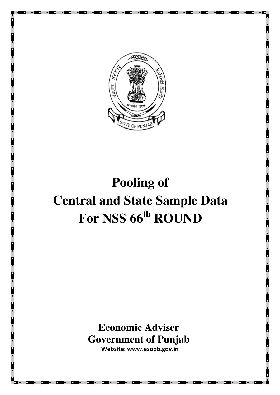

# **Pooling of Central and State Sample Data For NSS 66th ROUND**

**Economic Adviser Government of Punjab Website: www.esopb.gov.in**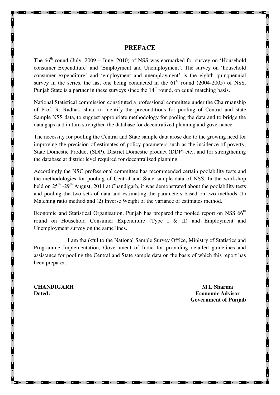### **PREFACE**

The  $66<sup>th</sup>$  round (July, 2009 – June, 2010) of NSS was earmarked for survey on 'Household consumer Expenditure' and 'Employment and Unemployment'. The survey on 'household consumer expenditure' and 'employment and unemployment' is the eighth quinquennial survey in the series, the last one being conducted in the  $61<sup>st</sup>$  round (2004-2005) of NSS. Punjab State is a partner in these surveys since the  $14<sup>th</sup>$  round, on equal matching basis.

National Statistical commission constituted a professional committee under the Chairmanship of Prof. R. Radhakrishna, to identify the preconditions for pooling of Central and state Sample NSS data, to suggest appropriate methodology for pooling the data and to bridge the data gaps and in turn strengthen the database for decentralized planning and governance.

The necessity for pooling the Central and State sample data arose due to the growing need for improving the precision of estimates of policy parameters such as the incidence of poverty, State Domestic Product (SDP), District Domestic product (DDP) etc., and for strengthening the database at district level required for decentralized planning.

Accordingly the NSC professional committee has recommended certain poolability tests and the methodologies for pooling of Central and State sample data of NSS. In the workshop held on 25<sup>th</sup> -29<sup>th</sup> August, 2014 at Chandigarh, it was demonstrated about the poolability tests and pooling the two sets of data and estimating the parameters based on two methods (1) Matching ratio method and (2) Inverse Weight of the variance of estimates method.

Economic and Statistical Organisation, Punjab has prepared the pooled report on NSS  $66<sup>th</sup>$ round on Household Consumer Expenditure (Type I & II) and Employment and Unemployment survey on the same lines.

I am thankful to the National Sample Survey Office, Ministry of Statistics and Programme Implementation, Government of India for providing detailed guidelines and assistance for pooling the Central and State sample data on the basis of which this report has been prepared.

**CHANDIGARH M.L Sharma M.L Sharma** 

**Dated: Economic Advisor Government of Punjab**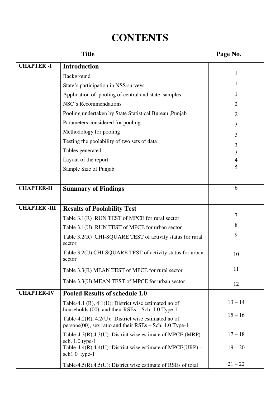## **CONTENTS**

|                    | Page No.                                                                                                          |                |  |  |  |  |
|--------------------|-------------------------------------------------------------------------------------------------------------------|----------------|--|--|--|--|
| <b>CHAPTER-I</b>   | <b>Introduction</b>                                                                                               |                |  |  |  |  |
|                    | Background                                                                                                        | 1              |  |  |  |  |
|                    | State's participation in NSS surveys                                                                              | 1              |  |  |  |  |
|                    | Application of pooling of central and state samples                                                               | 1              |  |  |  |  |
|                    | NSC's Recommendations                                                                                             | $\overline{2}$ |  |  |  |  |
|                    | Pooling undertaken by State Statistical Bureau , Punjab                                                           | $\overline{2}$ |  |  |  |  |
|                    | Parameters considered for pooling                                                                                 |                |  |  |  |  |
|                    | Methodology for pooling                                                                                           |                |  |  |  |  |
|                    | Testing the poolability of two sets of data                                                                       | 3<br>3         |  |  |  |  |
|                    | Tables generated                                                                                                  | 3              |  |  |  |  |
|                    | Layout of the report                                                                                              | 4              |  |  |  |  |
|                    | Sample Size of Punjab                                                                                             | 5              |  |  |  |  |
|                    |                                                                                                                   |                |  |  |  |  |
| <b>CHAPTER-II</b>  | <b>Summary of Findings</b>                                                                                        | 6              |  |  |  |  |
|                    |                                                                                                                   |                |  |  |  |  |
| <b>CHAPTER-III</b> | <b>Results of Poolability Test</b>                                                                                |                |  |  |  |  |
|                    | Table 3.1(R) RUN TEST of MPCE for rural sector                                                                    | 7              |  |  |  |  |
|                    | Table 3.1(U) RUN TEST of MPCE for urban sector                                                                    | 8              |  |  |  |  |
|                    | Table 3.2(R) CHI-SQUARE TEST of activity status for rural<br>sector                                               | 9              |  |  |  |  |
|                    | Table 3.2(U) CHI-SQUARE TEST of activity status for urban<br>sector                                               | 10             |  |  |  |  |
|                    | Table 3.3(R) MEAN TEST of MPCE for rural sector                                                                   | 11             |  |  |  |  |
|                    | Table 3.3(U) MEAN TEST of MPCE for urban sector                                                                   | 12             |  |  |  |  |
| <b>CHAPTER-IV</b>  | <b>Pooled Results of schedule 1.0</b>                                                                             |                |  |  |  |  |
|                    | Table-4.1 $(R)$ , 4.1 $(U)$ : District wise estimated no of<br>households $(00)$ and their RSEs – Sch. 1.0 Type-1 | $13 - 14$      |  |  |  |  |
|                    | Table-4.2(R), 4.2(U): District wise estimated no of<br>$persons(00)$ , sex ratio and their RSEs – Sch. 1.0 Type-1 | $15 - 16$      |  |  |  |  |
|                    | Table-4.3(R),4.3(U): District wise estimate of MPCE (MRP) –<br>sch. $1.0$ type-1                                  | $17 - 18$      |  |  |  |  |
|                    | Table-4.4(R),4.4(U): District wise estimate of MPCE(URP) –<br>$sch1.0$ type-1                                     | $19 - 20$      |  |  |  |  |
|                    | Table-4.5 $(R)$ ,4.5 $(U)$ : District wise estimate of RSEs of total                                              | $21 - 22$      |  |  |  |  |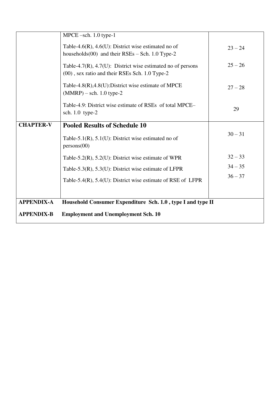|                   | $MPECE$ -sch. 1.0 type-1                                                                                      |           |
|-------------------|---------------------------------------------------------------------------------------------------------------|-----------|
|                   | Table-4.6(R), 4.6(U): District wise estimated no of<br>households $(00)$ and their RSEs - Sch. 1.0 Type-2     | $23 - 24$ |
|                   | Table-4.7(R), 4.7(U): District wise estimated no of persons<br>(00), sex ratio and their RSEs Sch. 1.0 Type-2 | $25 - 26$ |
|                   | Table-4.8 $(R)$ ,4.8 $(U)$ :District wise estimate of MPCE<br>$(MMRP)$ – sch. 1.0 type-2                      | $27 - 28$ |
|                   | Table-4.9: District wise estimate of RSEs of total MPCE–<br>sch. $1.0$ type- $2$                              | 29        |
| <b>CHAPTER-V</b>  | <b>Pooled Results of Schedule 10</b>                                                                          |           |
|                   | Table-5.1(R), $5.1(U)$ : District wise estimated no of<br>persons(00)                                         | $30 - 31$ |
|                   | Table-5.2 $(R)$ , 5.2 $(U)$ : District wise estimate of WPR                                                   | $32 - 33$ |
|                   | Table-5.3(R), 5.3(U): District wise estimate of LFPR                                                          | $34 - 35$ |
|                   | Table-5.4 $(R)$ , 5.4 $(U)$ : District wise estimate of RSE of LFPR                                           | $36 - 37$ |
|                   |                                                                                                               |           |
| <b>APPENDIX-A</b> | Household Consumer Expenditure Sch. 1.0, type I and type II                                                   |           |
| <b>APPENDIX-B</b> | <b>Employment and Unemployment Sch. 10</b>                                                                    |           |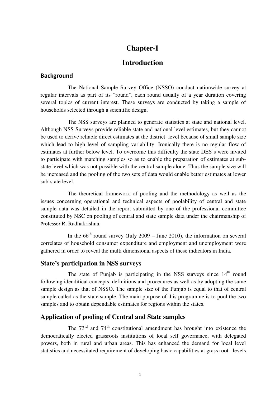### **Chapter-I**

### **Introduction**

### **Background**

 The National Sample Survey Office (NSSO) conduct nationwide survey at regular intervals as part of its "round", each round usually of a year duration covering several topics of current interest. These surveys are conducted by taking a sample of households selected through a scientific design.

 The NSS surveys are planned to generate statistics at state and national level. Although NSS Surveys provide reliable state and national level estimates, but they cannot be used to derive reliable direct estimates at the district level because of small sample size which lead to high level of sampling variability. Ironically there is no regular flow of estimates at further below level. To overcome this difficulty the state DES's were invited to participate with matching samples so as to enable the preparation of estimates at substate level which was not possible with the central sample alone. Thus the sample size will be increased and the pooling of the two sets of data would enable better estimates at lower sub-state level.

 The theoretical framework of pooling and the methodology as well as the issues concerning operational and technical aspects of poolability of central and state sample data was detailed in the report submitted by one of the professional committee constituted by NSC on pooling of central and state sample data under the chairmanship of Professor R. Radhakrishna.

In the  $66<sup>th</sup>$  round survey (July 2009 – June 2010), the information on several correlates of household consumer expenditure and employment and unemployment were gathered in order to reveal the multi dimensional aspects of these indicators in India.

### **State's participation in NSS surveys**

The state of Punjab is participating in the NSS surveys since 14<sup>th</sup> round following idenditical concepts, definitions and procedures as well as by adopting the same sample design as that of NSSO. The sample size of the Punjab is equal to that of central sample called as the state sample. The main purpose of this programme is to pool the two samples and to obtain dependable estimates for regions within the states.

### **Application of pooling of Central and State samples**

The  $73<sup>rd</sup>$  and  $74<sup>th</sup>$  constitutional amendment has brought into existence the democratically elected grassroots institutions of local self governance, with delegated powers, both in rural and urban areas. This has enhanced the demand for local level statistics and necessitated requirement of developing basic capabilities at grass root levels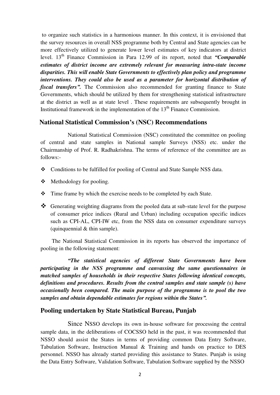to organize such statistics in a harmonious manner. In this context, it is envisioned that the survey resources in overall NSS programme both by Central and State agencies can be more effectively utilized to generate lower level estimates of key indicators at district level. 13th Finance Commission in Para 12.99 of its report, noted that *"Comparable estimates of district income are extremely relevant for measuring intra-state income disparities. This will enable State Governments to effectively plan policy and programme interventions. They could also be used as a parameter for horizontal distribution of fiscal transfers".* The Commission also recommended for granting finance to State Governments, which should be utilized by them for strengthening statistical infrastructure at the district as well as at state level . These requirements are subsequently brought in Institutional framework in the implementation of the  $13<sup>th</sup>$  Finance Commission.

### **National Statistical Commission's (NSC) Recommendations**

 National Statistical Commission (NSC) constituted the committee on pooling of central and state samples in National sample Surveys (NSS) etc. under the Chairmanship of Prof. R. Radhakrishna. The terms of reference of the committee are as follows:-

- Conditions to be fulfilled for pooling of Central and State Sample NSS data.
- $\triangleleft$  Methodology for pooling.
- $\div$  Time frame by which the exercise needs to be completed by each State.
- Generating weighting diagrams from the pooled data at sub-state level for the purpose of consumer price indices (Rural and Urban) including occupation specific indices such as CPI-AL, CPI-IW etc, from the NSS data on consumer expenditure surveys (quinquennial & thin sample).

 The National Statistical Commission in its reports has observed the importance of pooling in the following statement:

 *"The statistical agencies of different State Governments have been participating in the NSS programme and canvassing the same questionnaires in matched samples of households in their respective States following identical concepts, definitions and procedures. Results from the central samples and state sample (s) have occasionally been compared. The main purpose of the programme is to pool the two samples and obtain dependable estimates for regions within the States".* 

### **Pooling undertaken by State Statistical Bureau, Punjab**

 Since NSSO develops its own in-house software for processing the central sample data, in the deliberations of COCSSO held in the past, it was recommended that NSSO should assist the States in terms of providing common Data Entry Software, Tabulation Software, Instruction Manual & Training and hands on practice to DES personnel. NSSO has already started providing this assistance to States. Punjab is using the Data Entry Software, Validation Software, Tabulation Software supplied by the NSSO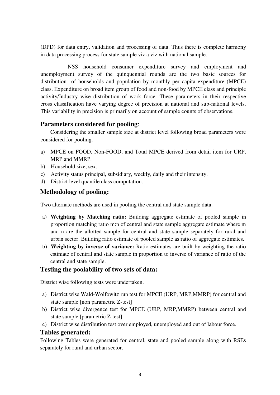(DPD) for data entry, validation and processing of data. Thus there is complete harmony in data processing process for state sample viz a viz with national sample.

 NSS household consumer expenditure survey and employment and unemployment survey of the quinquennial rounds are the two basic sources for distribution of households and population by monthly per capita expenditure (MPCE) class. Expenditure on broad item group of food and non-food by MPCE class and principle activity/Industry wise distribution of work force. These parameters in their respective cross classification have varying degree of precision at national and sub-national levels. This variability in precision is primarily on account of sample counts of observations.

### **Parameters considered for pooling**:

 Considering the smaller sample size at district level following broad parameters were considered for pooling.

- a) MPCE on FOOD, Non-FOOD, and Total MPCE derived from detail item for URP, MRP and MMRP.
- b) Household size, sex.
- c) Activity status principal, subsidiary, weekly, daily and their intensity.
- d) District level quantile class computation.

### **Methodology of pooling:**

Two alternate methods are used in pooling the central and state sample data.

- a) **Weighting by Matching ratio:** Building aggregate estimate of pooled sample in proportion matching ratio m:n of central and state sample aggregate estimate where m and n are the allotted sample for central and state sample separately for rural and urban sector. Building ratio estimate of pooled sample as ratio of aggregate estimates.
- b) **Weighting by inverse of variance:** Ratio estimates are built by weighting the ratio estimate of central and state sample in proportion to inverse of variance of ratio of the central and state sample.

### **Testing the poolability of two sets of data:**

District wise following tests were undertaken.

- a) District wise Wald-Wolfowitz run test for MPCE (URP, MRP,MMRP) for central and state sample [non parametric Z-test]
- b) District wise divergence test for MPCE (URP, MRP,MMRP) between central and state sample [parametric Z-test]
- c) District wise distribution test over employed, unemployed and out of labour force.

### **Tables generated:**

Following Tables were generated for central, state and pooled sample along with RSEs separately for rural and urban sector.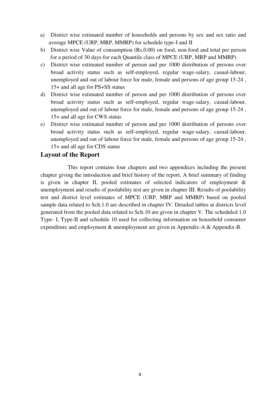- a) District wise estimated number of households and persons by sex and sex ratio and average MPCE (URP, MRP, MMRP) for schedule type-I and II
- b) District wise Value of consumption (Rs.0.00) on food, non-food and total per person for a period of 30 days for each Quantile class of MPCE (URP, MRP and MMRP)
- c) District wise estimated number of person and per 1000 distribution of persons over broad activity status such as self-employed, regular wage-salary, casual-labour, unemployed and out of labour force for male, female and persons of age group 15-24 , 15+ and all age for PS+SS status
- d) District wise estimated number of person and per 1000 distribution of persons over broad activity status such as self-employed, regular wage-salary, casual-labour, unemployed and out of labour force for male, female and persons of age group 15-24 , 15+ and all age for CWS status
- e) District wise estimated number of person and per 1000 distribution of persons over broad activity status such as self-employed, regular wage-salary, casual-labour, unemployed and out of labour force for male, female and persons of age group 15-24 , 15+ and all age for CDS status

### **Layout of the Report**

 This report contains four chapters and two appendices including the present chapter giving the introduction and brief history of the report. A brief summary of finding is given in chapter II, pooled estimates of selected indicators of employment & unemployment and results of poolability test are given in chapter III. Results of poolability test and district level estimates of MPCE (URP, MRP and MMRP) based on pooled sample data related to Sch.1.0 are described in chapter IV. Detailed tables at districts level generated from the pooled data related to Sch.10 are given in chapter V. The scheduled 1.0 Type- I, Type-II and schedule 10 used for collecting information on household consumer expenditure and employment & unemployment are given in Appendix-A & Appendix-B.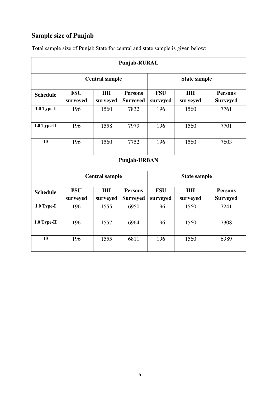## **Sample size of Punjab**

| Punjab-RURAL            |                        |                       |                                   |                        |                       |                                   |  |  |  |
|-------------------------|------------------------|-----------------------|-----------------------------------|------------------------|-----------------------|-----------------------------------|--|--|--|
|                         |                        | <b>Central sample</b> |                                   | <b>State sample</b>    |                       |                                   |  |  |  |
| <b>Schedule</b>         | <b>FSU</b><br>surveyed | <b>HH</b><br>surveyed | <b>Persons</b><br><b>Surveyed</b> | <b>FSU</b><br>surveyed | <b>HH</b><br>surveyed | <b>Persons</b><br><b>Surveyed</b> |  |  |  |
| $1.0$ Type-I            | 196                    | 1560                  | 7832                              | 196                    | 1560                  | 7761                              |  |  |  |
| $1.0$ Type-II           | 196                    | 1558                  | 7979                              | 196                    | 1560<br>7701          |                                   |  |  |  |
| 10                      | 196                    | 1560                  | 7752                              | 196                    | 1560                  | 7603                              |  |  |  |
|                         |                        |                       | Punjab-URBAN                      |                        |                       |                                   |  |  |  |
|                         |                        | <b>Central sample</b> |                                   | <b>State sample</b>    |                       |                                   |  |  |  |
| <b>Schedule</b>         | <b>FSU</b><br>surveyed | <b>HH</b><br>surveyed | <b>Persons</b><br><b>Surveyed</b> | <b>FSU</b><br>surveyed | <b>HH</b><br>surveyed | <b>Persons</b><br><b>Surveyed</b> |  |  |  |
| $\overline{1.0}$ Type-I | 196                    | 1555                  | 6950                              | 196                    | 1560                  | 7241                              |  |  |  |
| $1.0$ Type-II           | 196                    | 1557                  | 6964                              | 196                    | 7308                  |                                   |  |  |  |
| 10                      | 196                    | 1555                  | 6811                              | 196                    | 1560                  | 6989                              |  |  |  |

Total sample size of Punjab State for central and state sample is given below: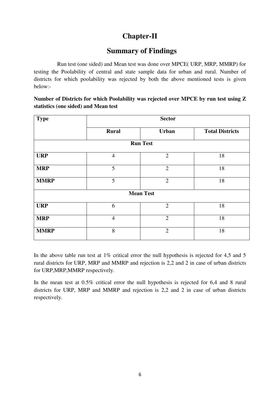## **Chapter-II**

### **Summary of Findings**

Run test (one sided) and Mean test was done over MPCE( URP, MRP, MMRP) for testing the Poolability of central and state sample data for urban and rural. Number of districts for which poolability was rejected by both the above mentioned tests is given below:-

### **Number of Districts for which Poolability was rejected over MPCE by run test using Z statistics (one sided) and Mean test**

| <b>Type</b>     | <b>Sector</b>  |                  |                        |  |  |  |  |  |  |  |  |
|-----------------|----------------|------------------|------------------------|--|--|--|--|--|--|--|--|
|                 | <b>Rural</b>   | Urban            | <b>Total Districts</b> |  |  |  |  |  |  |  |  |
| <b>Run Test</b> |                |                  |                        |  |  |  |  |  |  |  |  |
| <b>URP</b>      | $\overline{4}$ | $\overline{2}$   | 18                     |  |  |  |  |  |  |  |  |
| <b>MRP</b>      | 5              | $\overline{2}$   | 18                     |  |  |  |  |  |  |  |  |
| <b>MMRP</b>     | 5              | $\overline{2}$   | 18                     |  |  |  |  |  |  |  |  |
|                 |                | <b>Mean Test</b> |                        |  |  |  |  |  |  |  |  |
| <b>URP</b>      | 6              | $\overline{2}$   | 18                     |  |  |  |  |  |  |  |  |
| <b>MRP</b>      | $\overline{4}$ | $\overline{2}$   | 18                     |  |  |  |  |  |  |  |  |
| <b>MMRP</b>     | 8              | $\overline{2}$   | 18                     |  |  |  |  |  |  |  |  |

In the above table run test at  $1\%$  critical error the null hypothesis is rejected for 4,5 and 5 rural districts for URP, MRP and MMRP and rejection is 2,2 and 2 in case of urban districts for URP,MRP,MMRP respectively.

In the mean test at 0.5% critical error the null hypothesis is rejected for 6,4 and 8 rural districts for URP, MRP and MMRP and rejection is 2,2 and 2 in case of urban districts respectively.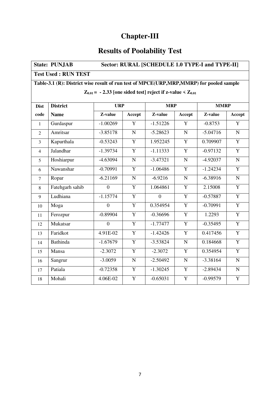## **Chapter-III**

## **Results of Poolability Test**

| Sector: RURAL [SCHEDULE 1.0 TYPE-I and TYPE-II]<br><b>State: PUNJAB</b>                 |                 |                  |                |            |                |            |                |  |  |  |
|-----------------------------------------------------------------------------------------|-----------------|------------------|----------------|------------|----------------|------------|----------------|--|--|--|
| <b>Test Used: RUN TEST</b>                                                              |                 |                  |                |            |                |            |                |  |  |  |
| Table-3.1 (R): District wise result of run test of MPCE(URP,MRP,MMRP) for pooled sample |                 |                  |                |            |                |            |                |  |  |  |
| $Z_{0.01}$ = - 2.33 [one sided test] reject if z-value < $Z_{0.01}$                     |                 |                  |                |            |                |            |                |  |  |  |
| <b>District</b><br><b>URP</b><br><b>MRP</b><br><b>MMRP</b><br><b>Dist</b>               |                 |                  |                |            |                |            |                |  |  |  |
| code                                                                                    | <b>Name</b>     | Z-value          | Accept         | Z-value    | Accept         | Z-value    | Accept         |  |  |  |
|                                                                                         |                 |                  | Y              |            | Y              |            | $\overline{Y}$ |  |  |  |
| $\mathbf{1}$                                                                            | Gurdaspur       | $-1.00269$       |                | $-1.51226$ |                | $-0.8753$  |                |  |  |  |
| $\overline{2}$                                                                          | Amritsar        | $-3.85178$       | $\mathbf N$    | $-5.28623$ | $\mathbf N$    | $-5.04716$ | $\mathbf N$    |  |  |  |
| $\overline{3}$                                                                          | Kapurthala      | $-0.53243$       | $\overline{Y}$ | 1.952245   | $\overline{Y}$ | 0.709907   | $\overline{Y}$ |  |  |  |
| $\overline{4}$                                                                          | Jalandhar       | $-1.39734$       | $\overline{Y}$ | $-1.11333$ | $\overline{Y}$ | $-0.97132$ | $\overline{Y}$ |  |  |  |
| 5                                                                                       | Hoshiarpur      | $-4.63094$       | $\overline{N}$ | $-3.47321$ | $\overline{N}$ | $-4.92037$ | $\overline{N}$ |  |  |  |
| 6                                                                                       | Nawanshar       | $-0.70991$       | $\overline{Y}$ | $-1.06486$ | $\overline{Y}$ | $-1.24234$ | $\overline{Y}$ |  |  |  |
| $\overline{7}$                                                                          | Ropar           | $-6.21169$       | $\mathbf N$    | $-6.9216$  | $\mathbf N$    | $-6.38916$ | $\mathbf N$    |  |  |  |
| 8                                                                                       | Fatehgarh sahib | $\overline{0}$   | $\overline{Y}$ | 1.064861   | $\overline{Y}$ | 2.15008    | $\overline{Y}$ |  |  |  |
| 9                                                                                       | Ludhiana        | $-1.15774$       | $\overline{Y}$ | $\Omega$   | $\overline{Y}$ | $-0.57887$ | $\overline{Y}$ |  |  |  |
| 10                                                                                      | Moga            | $\overline{0}$   | $\overline{Y}$ | 0.354954   | $\overline{Y}$ | $-0.70991$ | $\overline{Y}$ |  |  |  |
| 11                                                                                      | Ferozpur        | $-0.89904$       | Y              | $-0.36696$ | Y              | 1.2293     | Y              |  |  |  |
| 12                                                                                      | Mukatsar        | $\boldsymbol{0}$ | $\overline{Y}$ | $-1.77477$ | $\overline{Y}$ | $-0.35495$ | $\overline{Y}$ |  |  |  |
| 13                                                                                      | Faridkot        | 4.91E-02         | Y              | $-1.42426$ | Y              | 0.417456   | $\overline{Y}$ |  |  |  |
| 14                                                                                      | <b>Bathinda</b> | $-1.67679$       | $\overline{Y}$ | $-3.53824$ | ${\bf N}$      | 0.184668   | $\overline{Y}$ |  |  |  |
| 15                                                                                      | Mansa           | $-2.3072$        | $\overline{Y}$ | $-2.3072$  | Y              | 0.354954   | $\overline{Y}$ |  |  |  |
| 16                                                                                      | Sangrur         | $-3.0059$        | $\overline{N}$ | $-2.50492$ | $\overline{N}$ | $-3.38164$ | $\overline{N}$ |  |  |  |
| 17                                                                                      | Patiala         | $-0.72358$       | Y              | $-1.30245$ | Y              | $-2.89434$ | $\mathbf N$    |  |  |  |
| 18                                                                                      | Mohali          | 4.06E-02         | Y              | $-0.65031$ | $\overline{Y}$ | $-0.99579$ | $\overline{Y}$ |  |  |  |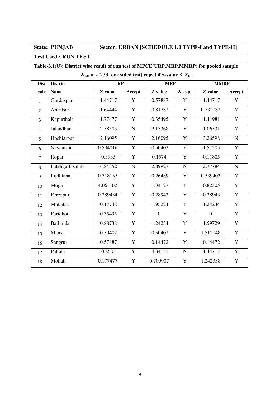### State: PUNJAB Sector: URBAN [SCHEDULE 1.0 TYPE-I and TYPE-II]

**Test Used : RUN TEST** 

### **Table-3.1(U): District wise result of run test of MPCE(URP,MRP,MMRP) for pooled sample**

 **Z**<sub>0.01</sub> = - 2.33 [one sided test] reject if z-value  $\leq Z_{0.01}$ 

| <b>Dist</b>    | <b>District</b> |            | <b>URP</b><br><b>MRP</b> |                | <b>MMRP</b>    |                |                |
|----------------|-----------------|------------|--------------------------|----------------|----------------|----------------|----------------|
| code           | <b>Name</b>     | Z-value    | Accept                   | Z-value        | Accept         | Z-value        | Accept         |
| $\mathbf{1}$   | Gurdaspur       | $-1.44717$ | Y                        | $-0.57887$     | Y              | $-1.44717$     | Y              |
| $\overline{2}$ | Amritsar        | $-1.64444$ | Y                        | $-0.81782$     | Y              | 0.732082       | $\overline{Y}$ |
| $\overline{3}$ | Kapurthala      | $-1.77477$ | Y                        | $-0.35495$     | $\mathbf Y$    | $-1.41981$     | $\mathbf Y$    |
| $\overline{4}$ | Jalandhar       | $-2.58303$ | $\mathbf N$              | $-2.13368$     | Y              | $-1.06531$     | $\overline{Y}$ |
| 5              | Hoshiarpur      | $-2.16095$ | $\overline{Y}$           | $-2.16095$     | $\overline{Y}$ | $-3.26598$     | $\mathbf N$    |
| 6              | Nawanshar       | 0.504016   | $\mathbf{Y}$             | $-0.50402$     | $\overline{Y}$ | $-1.51205$     | $\mathbf Y$    |
| $\overline{7}$ | Ropar           | $-0.3935$  | $\overline{Y}$           | 0.1574         | Y              | $-0.11805$     | $\overline{Y}$ |
| 8              | Fatehgarh sahib | $-4.84352$ | $\overline{\bf N}$       | $-2.89927$     | $\mathbf N$    | $-2.77784$     | $\mathbf N$    |
| 9              | Ludhiana        | 0.718135   | $\mathbf Y$              | $-0.26489$     | Y              | 0.539403       | $\mathbf Y$    |
| 10             | Moga            | 4.06E-02   | $\overline{Y}$           | $-1.34127$     | $\overline{Y}$ | $-0.82305$     | $\overline{Y}$ |
| 11             | Ferozpur        | 0.289434   | $\overline{Y}$           | $-0.28943$     | $\overline{Y}$ | $-0.28943$     | $\overline{Y}$ |
| 12             | Mukatsar        | $-0.17748$ | $\mathbf{Y}$             | $-1.95224$     | Y              | $-1.24234$     | $\overline{Y}$ |
| 13             | Faridkot        | $-0.35495$ | Y                        | $\overline{0}$ | Y              | $\overline{0}$ | Y              |
| 14             | <b>Bathinda</b> | $-0.88738$ | $\overline{Y}$           | $-1.24234$     | $\overline{Y}$ | $-1.59729$     | $\overline{Y}$ |
| 15             | Mansa           | $-0.50402$ | Y                        | $-0.50402$     | Y              | 1.512048       | Y              |
| 16             | Sangrur         | $-0.57887$ | Y                        | $-0.14472$     | Y              | $-0.14472$     | $\overline{Y}$ |
| 17             | Patiala         | $-0.8683$  | Y                        | $-4.34151$     | $\mathbf N$    | $-1.44717$     | $\overline{Y}$ |
| 18             | Mohali          | 0.177477   | Y                        | 0.709907       | $\mathbf Y$    | 1.242338       | $\mathbf Y$    |
|                |                 |            |                          |                |                |                |                |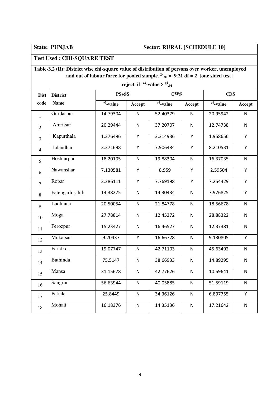### **State: PUNJAB Sector: RURAL [SCHEDULE 10]**

### **Test Used : CHI-SQUARE TEST**

**Table-3.2 (R): District wise chi-square value of distribution of persons over worker, unemployed and out of labour force for pooled sample.**  $x^2_{0,01} = 9.21$  df = 2 [one sided test]

**reject if**  $x^2$ -value >  $x^2_{0.01}$ **Dist code District Name PS+SS CWS CDS**  $\chi^2$ **-value** Accept  $\chi^2$ -value Accept  $\chi^2$ -value Accept  $\begin{array}{c|c|c|c|c|c|c|c} \hline \end{array}$ 14.79304 N 52.40379 N 20.95942 N 2 Amritsar 20.29444 N 37.20707 N 12.74738 N 3 | Kapurthala | 1.376496 | Y | 3.314936 | Y | 1.958656 | Y 4 Jalandhar 13.371698 Y 7.906484 Y 8.210531 Y 5 Hoshiarpur | 18.20105 | N | 19.88304 | N | 16.37035 | N 6 Nawanshar | 7.130581 | Y | 8.959 | Y | 2.59504 | Y <sup>7</sup>Ropar 3.286111 Y 7.769198 Y 7.254429 Y 8 Fatehgarh sahib 14.38275 | N | 14.30434 | N | 7.976825 | Y <sup>9</sup>Ludhiana 20.50054 N 21.84778 N 18.56678 N  $10$  Moga 27.78814 N 12.45272 N 28.88322 N 11 Ferozpur 15.23427 N 16.46527 N 12.37381 N 12 Mukatsar | 9.20437 | Y | 16.66728 | N | 9.130805 | Y 13 Faridkot | 19.07747 | N | 42.71103 | N | 45.63492 | N 14 Bathinda 15.5147 | N 38.66933 | N 14.89295 | N 15 Mansa 15 31.15678 N 42.77626 N 10.59641 N 16 Sangrur | 56.63944 | N | 40.05885 | N | 51.59119 | N 17 Patiala 125.8449 N 34.36126 N 6.897755 Y 18 Mohali 16.18376 N 14.35136 N 17.21642 N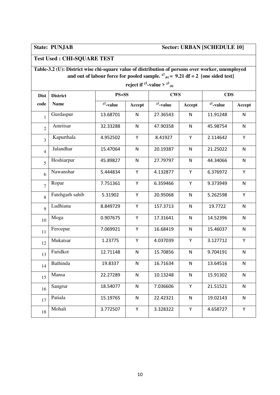## **State: PUNJAB Sector: URBAN [SCHEDULE 10]**

## **Test Used : CHI-SQUARE TEST**

| Table-3.2 (U): District wise chi-square value of distribution of persons over worker, unemployed |
|--------------------------------------------------------------------------------------------------|
| and out of labour force for pooled sample. $^{22}$ $_{01}$ = 9.21 df = 2 [one sided test]        |

| reject if <sup><math>k^2</math></sup> -value > $k^2_{01}$ |                 |                 |              |              |              |                 |           |  |  |  |  |
|-----------------------------------------------------------|-----------------|-----------------|--------------|--------------|--------------|-----------------|-----------|--|--|--|--|
| <b>Dist</b>                                               | <b>District</b> | $PS + SS$       |              | <b>CWS</b>   |              | <b>CDS</b>      |           |  |  |  |  |
| code                                                      | <b>Name</b>     | $\chi^2$ -value | Accept       | $x^2$ -value | Accept       | $\chi^2$ -value | Accept    |  |  |  |  |
| 1                                                         | Gurdaspur       | 13.68701        | N            | 27.36543     | N            | 11.91248        | N         |  |  |  |  |
| $\overline{2}$                                            | Amritsar        | 32.33288        | $\mathsf{N}$ | 47.90358     | $\mathsf{N}$ | 45.98754        | N         |  |  |  |  |
| $\overline{3}$                                            | Kapurthala      | 4.952502        | Υ            | 8.41927      | Y            | 2.114642        | Y         |  |  |  |  |
| $\overline{4}$                                            | Jalandhar       | 15.47064        | $\mathsf{N}$ | 20.19387     | ${\sf N}$    | 21.25022        | ${\sf N}$ |  |  |  |  |
| 5                                                         | Hoshiarpur      | 45.89827        | $\mathsf{N}$ | 27.79797     | $\mathsf{N}$ | 44.34066        | N         |  |  |  |  |
| 6                                                         | Nawanshar       | 5.444834        | Υ            | 4.132877     | Υ            | 6.376972        | Y         |  |  |  |  |
| $\overline{7}$                                            | Ropar           | 7.751361        | Υ            | 6.359466     | Υ            | 9.373949        | N         |  |  |  |  |
| 8                                                         | Fatehgarh sahib | 5.31902         | Υ            | 20.95068     | $\mathsf{N}$ | 5.262598        | Y         |  |  |  |  |
| $\overline{Q}$                                            | Ludhiana        | 8.849729        | Υ            | 157.3713     | $\mathsf{N}$ | 19.7722         | N         |  |  |  |  |
| 10                                                        | Moga            | 0.907675        | Υ            | 17.31641     | $\mathsf{N}$ | 14.52396        | N         |  |  |  |  |
| 11                                                        | Ferozpur        | 7.069921        | Υ            | 16.68419     | $\mathsf{N}$ | 15.46037        | N         |  |  |  |  |
| 12                                                        | Mukatsar        | 1.23775         | Υ            | 4.037039     | Υ            | 3.127712        | Υ         |  |  |  |  |
| 13                                                        | Faridkot        | 12.71148        | N            | 15.70856     | $\mathsf{N}$ | 9.704191        | N         |  |  |  |  |
| 14                                                        | <b>Bathinda</b> | 19.8337         | $\mathsf{N}$ | 16.71634     | N            | 13.64516        | N         |  |  |  |  |
| 15                                                        | Mansa           | 22.27289        | $\mathsf{N}$ | 10.13248     | $\mathsf{N}$ | 15.91302        | N         |  |  |  |  |
| 16                                                        | Sangrur         | 18.54077        | N            | 7.036606     | Y            | 21.51521        | N.        |  |  |  |  |
| 17                                                        | Patiala         | 15.19765        | $\mathsf{N}$ | 22.42321     | $\mathsf{N}$ | 19.02143        | N         |  |  |  |  |
| 18                                                        | Mohali          | 3.772507        | Υ            | 3.328322     | Υ            | 4.658727        | Υ         |  |  |  |  |

*x*-*x*<sub>2</sub>*<i>x***<sub>2</sub>** *x***<sub>2</sub>**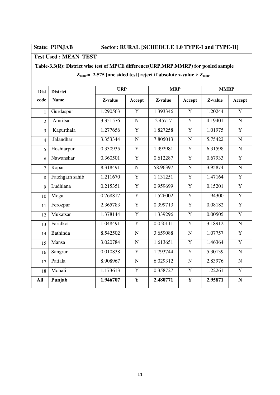## **State: PUNJAB Sector: RURAL [SCHEDULE 1.0 TYPE-I and TYPE-II]**

### **Test Used : MEAN TEST**

## **Table-3.3(R): District wise test of MPCE difference(URP,MRP,MMRP) for pooled sample**

| <b>Dist</b>    | <b>District</b> | <b>URP</b> |                | <b>MRP</b> |                | <b>MMRP</b> |                |
|----------------|-----------------|------------|----------------|------------|----------------|-------------|----------------|
| code           | <b>Name</b>     | Z-value    | Accept         | Z-value    | Accept         | Z-value     | Accept         |
| $\mathbf{1}$   | Gurdaspur       | 1.290563   | Y              | 1.393346   | Y              | 1.20244     | Y              |
| $\overline{2}$ | Amritsar        | 3.351576   | ${\bf N}$      | 2.45717    | Y              | 4.19401     | ${\bf N}$      |
| $\overline{3}$ | Kapurthala      | 1.277656   | $\overline{Y}$ | 1.827258   | $\overline{Y}$ | 1.01975     | $\overline{Y}$ |
| $\overline{4}$ | Jalandhar       | 3.353344   | ${\bf N}$      | 7.805013   | $\mathbf N$    | 5.75422     | $\overline{N}$ |
| 5              | Hoshiarpur      | 0.330935   | Y              | 1.992981   | Y              | 6.31598     | ${\bf N}$      |
| 6              | Nawanshar       | 0.360501   | Y              | 0.612287   | Y              | 0.67933     | $\mathbf Y$    |
| $\overline{7}$ | Ropar           | 8.318491   | $\mathbf N$    | 58.96397   | ${\bf N}$      | 3.95874     | $\overline{N}$ |
| 8              | Fatehgarh sahib | 1.211670   | $\overline{Y}$ | 1.131251   | $\overline{Y}$ | 1.47164     | $\overline{Y}$ |
| 9              | Ludhiana        | 0.215351   | $\overline{Y}$ | 0.959699   | $\overline{Y}$ | 0.15201     | $\overline{Y}$ |
| 10             | Moga            | 0.768817   | $\mathbf Y$    | 1.526002   | $\mathbf Y$    | 1.94300     | $\overline{Y}$ |
| 11             | Ferozpur        | 2.365783   | $\mathbf Y$    | 0.399713   | Y              | 0.08182     | $\mathbf Y$    |
| 12             | Mukatsar        | 1.378144   | $\overline{Y}$ | 1.339296   | $\overline{Y}$ | 0.00505     | $\overline{Y}$ |
| 13             | Faridkot        | 1.048491   | $\overline{Y}$ | 0.050111   | Y              | 3.18912     | ${\bf N}$      |
| 14             | <b>Bathinda</b> | 8.542502   | ${\bf N}$      | 3.659088   | ${\bf N}$      | 1.07757     | $\overline{Y}$ |
| 15             | Mansa           | 3.020784   | ${\bf N}$      | 1.613651   | $\mathbf Y$    | 1.46364     | $\overline{Y}$ |
| 16             | Sangrur         | 0.010838   | $\mathbf Y$    | 1.793744   | $\mathbf Y$    | 5.30139     | ${\bf N}$      |
| 17             | Patiala         | 8.908967   | ${\bf N}$      | 6.029312   | ${\bf N}$      | 2.83976     | $\overline{N}$ |
| 18             | Mohali          | 1.173613   | $\mathbf Y$    | 0.358727   | $\mathbf Y$    | 1.22261     | $\overline{Y}$ |
| All            | Punjab          | 1.946707   | $\mathbf{Y}$   | 2.480771   | $\mathbf Y$    | 2.95871     | $\mathbf N$    |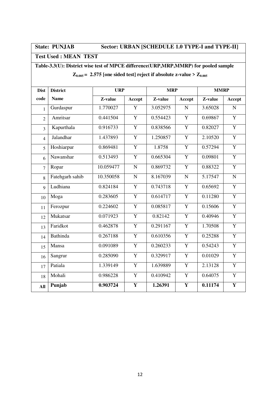## **State: PUNJAB Sector: URBAN [SCHEDULE 1.0 TYPE-I and TYPE-II]**

### **Test Used : MEAN TEST**

## **Table-3.3(U): District wise test of MPCE difference(URP,MRP,MMRP) for pooled sample**

| $Z_{0.005}$ = 2.575 [one sided test] reject if absolute z-value > $Z_{0.005}$ |  |
|-------------------------------------------------------------------------------|--|
|-------------------------------------------------------------------------------|--|

| <b>Dist</b>    | <b>District</b> | <b>URP</b> |                | <b>MRP</b> |                | <b>MMRP</b> |                |
|----------------|-----------------|------------|----------------|------------|----------------|-------------|----------------|
| code           | <b>Name</b>     | Z-value    | Accept         | Z-value    | Accept         | Z-value     | Accept         |
| 1              | Gurdaspur       | 1.770027   | Y              | 3.052975   | ${\bf N}$      | 3.65028     | ${\bf N}$      |
| $\overline{2}$ | Amritsar        | 0.441504   | $\mathbf Y$    | 0.554423   | Y              | 0.69867     | $\mathbf Y$    |
| $\overline{3}$ | Kapurthala      | 0.916733   | $\overline{Y}$ | 0.838566   | $\overline{Y}$ | 0.82027     | $\overline{Y}$ |
| $\overline{4}$ | Jalandhar       | 1.437893   | $\mathbf Y$    | 1.250857   | Y              | 2.10520     | $\overline{Y}$ |
| 5              | Hoshiarpur      | 0.869481   | $\mathbf Y$    | 1.8758     | $\mathbf Y$    | 0.57294     | $\mathbf Y$    |
| 6              | Nawanshar       | 0.513493   | $\mathbf Y$    | 0.665304   | Y              | 0.09801     | $\overline{Y}$ |
| 7              | Ropar           | 10.059477  | $\mathbf N$    | 0.869732   | $\mathbf Y$    | 0.88322     | $\mathbf Y$    |
| 8              | Fatehgarh sahib | 10.350058  | $\mathbf N$    | 8.167039   | ${\bf N}$      | 5.17547     | $\mathbf N$    |
| $\overline{9}$ | Ludhiana        | 0.824184   | $\mathbf Y$    | 0.743718   | Y              | 0.65692     | $\overline{Y}$ |
| 10             | Moga            | 0.283605   | Y              | 0.614717   | Y              | 0.11280     | $\overline{Y}$ |
| 11             | Ferozpur        | 0.224602   | $\mathbf Y$    | 0.085817   | Y              | 0.15606     | $\overline{Y}$ |
| 12             | Mukatsar        | 0.071923   | $\mathbf Y$    | 0.82142    | $\mathbf Y$    | 0.40946     | $\overline{Y}$ |
| 13             | Faridkot        | 0.462878   | $\overline{Y}$ | 0.291167   | $\overline{Y}$ | 1.70508     | $\overline{Y}$ |
| 14             | Bathinda        | 0.267188   | $\mathbf Y$    | 0.610356   | $\overline{Y}$ | 0.25288     | $\overline{Y}$ |
| 15             | Mansa           | 0.091089   | $\overline{Y}$ | 0.260233   | $\overline{Y}$ | 0.54243     | $\overline{Y}$ |
| 16             | Sangrur         | 0.285090   | $\overline{Y}$ | 0.329917   | $\overline{Y}$ | 0.01029     | $\overline{Y}$ |
| 17             | Patiala         | 1.339149   | $\overline{Y}$ | 1.639889   | $\overline{Y}$ | 2.13128     | $\overline{Y}$ |
| 18             | Mohali          | 0.986228   | $\overline{Y}$ | 0.410942   | $\overline{Y}$ | 0.64075     | $\overline{Y}$ |
| All            | Punjab          | 0.903724   | $\mathbf Y$    | 1.26391    | Y              | 0.11174     | $\mathbf Y$    |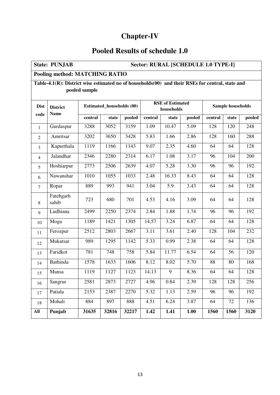## **Chapter-IV**

## **Pooled Results of schedule 1.0**

|                                                                                                  | Sector: RURAL [SCHEDULE 1.0 TYPE-I]<br><b>State: PUNJAB</b> |         |                                  |        |         |                                       |        |         |                   |        |  |
|--------------------------------------------------------------------------------------------------|-------------------------------------------------------------|---------|----------------------------------|--------|---------|---------------------------------------|--------|---------|-------------------|--------|--|
|                                                                                                  | <b>Pooling method: MATCHING RATIO</b>                       |         |                                  |        |         |                                       |        |         |                   |        |  |
| Table-4.1(R): District wise estimated no of households(00) and their RSEs for central, state and |                                                             |         |                                  |        |         |                                       |        |         |                   |        |  |
| pooled sample                                                                                    |                                                             |         |                                  |        |         |                                       |        |         |                   |        |  |
| <b>Dist</b>                                                                                      | <b>District</b><br><b>Name</b>                              |         | <b>Estimated_households (00)</b> |        |         | <b>RSE</b> of Estimated<br>households |        |         | Sample households |        |  |
| code                                                                                             |                                                             | central | state                            | pooled | central | state                                 | pooled | central | state             | pooled |  |
| 1                                                                                                | Gurdaspur                                                   | 3288    | 3052                             | 3159   | 1.09    | 10.47                                 | 5.09   | 128     | 120               | 248    |  |
| 2                                                                                                | Amritsar                                                    | 3202    | 3650                             | 3428   | 5.83    | 1.66                                  | 2.86   | 128     | 160               | 288    |  |
| 3                                                                                                | Kapurthala                                                  | 1119    | 1166                             | 1143   | 9.07    | 2.35                                  | 4.60   | 64      | 64                | 128    |  |
| $\overline{4}$                                                                                   | Jalandhar                                                   | 2346    | 2280                             | 2314   | 6.17    | 1.08                                  | 3.17   | 96      | 104               | 200    |  |
| 5                                                                                                | Hoshiarpur                                                  | 2773    | 2506                             | 2639   | 4.07    | 5.28                                  | 3.30   | 96      | 96                | 192    |  |
| 6                                                                                                | Nawanshar                                                   | 1010    | 1055                             | 1033   | 2.48    | 16.33                                 | 8.43   | 64      | 64                | 128    |  |
| $\tau$                                                                                           | Ropar                                                       | 889     | 993                              | 941    | 3.04    | 5.9                                   | 3.43   | 64      | 64                | 128    |  |
| 8                                                                                                | Fatehgarh<br>sahib                                          | 723     | 680                              | 701    | 4.53    | 4.16                                  | 3.09   | 64      | 64                | 128    |  |
| 9                                                                                                | Ludhiana                                                    | 2499    | 2250                             | 2374   | 2.84    | 1.88                                  | 1.74   | 96      | 96                | 192    |  |
| 10                                                                                               | Moga                                                        | 1189    | 1421                             | 1305   | 14.57   | 3.24                                  | 6.87   | 64      | 64                | 128    |  |
| 11                                                                                               | Ferozpur                                                    | 2512    | 2803                             | 2667   | 3.11    | 3.61                                  | 2.40   | 128     | 104               | 232    |  |
| 12                                                                                               | Mukatsar                                                    | 989     | 1295                             | 1142   | 5.33    | 0.99                                  | 2.38   | 64      | 64                | 128    |  |
| 13                                                                                               | Faridkot                                                    | 781     | 748                              | 758    | 5.84    | 11.77                                 | 6.54   | 64      | 56                | 120    |  |
| 14                                                                                               | Bathinda                                                    | 1578    | 1633                             | 1606   | 8.12    | 8.02                                  | 5.70   | 88      | 80                | 168    |  |
| 15                                                                                               | Mansa                                                       | 1119    | 1127                             | 1123   | 14.13   | 9                                     | 8.36   | 64      | 64                | 128    |  |
| 16                                                                                               | Sangrur                                                     | 2581    | 2873                             | 2727   | 4.96    | 0.84                                  | 2.39   | 128     | 128               | 256    |  |
| 17                                                                                               | Patiala                                                     | 2153    | 2387                             | 2270   | 5.32    | 1.13                                  | 2.59   | 96      | 96                | 192    |  |
| 18                                                                                               | Mohali                                                      | 884     | 897                              | 888    | 4.51    | 6.24                                  | 3.87   | 64      | 72                | 136    |  |
| All                                                                                              | Punjab                                                      | 31635   | 32816                            | 32217  | 1.42    | 1.41                                  | 1.00   | 1560    | 1560              | 3120   |  |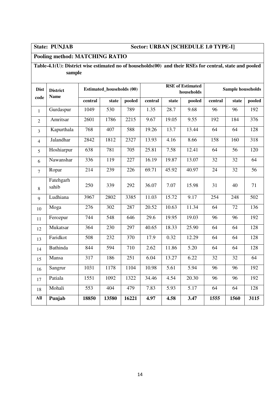### **State: PUNJAB Sector: URBAN [SCHEDULE 1.0 TYPE-I]**

### **Pooling method: MATCHING RATIO**

### **Table-4.1(U): District wise estimated no of households(00) and their RSEs for central, state and pooled sample**

| <b>Dist</b><br>code | <b>District</b><br><b>Name</b> |         | <b>Estimated_households (00)</b> |        |         |       | <b>RSE</b> of Estimated<br>households |                 | <b>Sample households</b> |                  |
|---------------------|--------------------------------|---------|----------------------------------|--------|---------|-------|---------------------------------------|-----------------|--------------------------|------------------|
|                     |                                | central | state                            | pooled | central | state | pooled                                | central         | state                    | pooled           |
| $\mathbf{1}$        | Gurdaspur                      | 1049    | 530                              | 789    | 1.35    | 28.7  | 9.68                                  | 96              | 96                       | 192              |
| $\overline{2}$      | Amritsar                       | 2601    | 1786                             | 2215   | 9.67    | 19.05 | 9.55                                  | 192             | 184                      | 376              |
| 3                   | Kapurthala                     | 768     | 407                              | 588    | 19.26   | 13.7  | 13.44                                 | 64              | 64                       | 128              |
| $\overline{4}$      | Jalandhar                      | 2842    | 1812                             | 2327   | 13.93   | 4.16  | 8.66                                  | 158             | 160                      | 318              |
| 5                   | Hoshiarpur                     | 638     | 781                              | 705    | 25.81   | 7.58  | 12.41                                 | 64              | 56                       | 120              |
| 6                   | Nawanshar                      | 336     | 119                              | 227    | 16.19   | 19.87 | 13.07                                 | 32              | 32                       | 64               |
| $\overline{7}$      | Ropar                          | 214     | 239                              | 226    | 69.71   | 45.92 | 40.97                                 | 24              | 32                       | $\overline{56}$  |
| 8                   | Fatehgarh<br>sahib             | 250     | 339                              | 292    | 36.07   | 7.07  | 15.98                                 | 31              | 40                       | 71               |
| 9                   | Ludhiana                       | 3967    | 2802                             | 3385   | 11.03   | 15.72 | 9.17                                  | 254             | 248                      | $\overline{502}$ |
| 10                  | Moga                           | 276     | 302                              | 287    | 20.52   | 10.63 | 11.34                                 | $\overline{64}$ | 72                       | 136              |
| $11\,$              | Ferozpur                       | 744     | 548                              | 646    | 29.6    | 19.95 | 19.03                                 | 96              | 96                       | 192              |
| 12                  | Mukatsar                       | 364     | 230                              | 297    | 40.65   | 18.33 | 25.90                                 | 64              | 64                       | 128              |
| 13                  | Faridkot                       | 508     | 232                              | 370    | 17.9    | 0.32  | 12.29                                 | 64              | 64                       | 128              |
| 14                  | <b>Bathinda</b>                | 844     | 594                              | 710    | 2.62    | 11.86 | 5.20                                  | 64              | 64                       | 128              |
| 15                  | Mansa                          | 317     | 186                              | 251    | 6.04    | 13.27 | 6.22                                  | 32              | 32                       | 64               |
| 16                  | Sangrur                        | 1031    | 1178                             | 1104   | 10.98   | 5.61  | 5.94                                  | 96              | 96                       | 192              |
| 17                  | Patiala                        | 1551    | 1092                             | 1322   | 34.46   | 4.54  | 20.30                                 | 96              | 96                       | 192              |
| 18                  | Mohali                         | 553     | 404                              | 479    | 7.83    | 5.93  | 5.17                                  | 64              | 64                       | 128              |
| All                 | Punjab                         | 18850   | 13580                            | 16221  | 4.97    | 4.58  | 3.47                                  | 1555            | 1560                     | 3115             |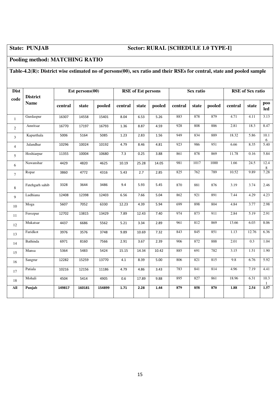### **State: PUNJAB Sector: RURAL [SCHEDULE 1.0 TYPE-I]**

### **Pooling method: MATCHING RATIO**

### **Table-4.2(R): District wise estimated no of persons(00), sex ratio and their RSEs for central, state and pooled sample**

| <b>Dist</b>    | <b>District</b> |         | Est persons $(00)$ |        |         | <b>RSE</b> of Est persons |        |         | Sex ratio |        |         | <b>RSE</b> of Sex ratio |                   |
|----------------|-----------------|---------|--------------------|--------|---------|---------------------------|--------|---------|-----------|--------|---------|-------------------------|-------------------|
| code           | <b>Name</b>     | central | state              | pooled | central | state                     | pooled | central | state     | pooled | central | state                   | <b>poo</b><br>led |
| $\mathbf{1}$   | Gurdaspur       | 16307   | 14558              | 15401  | 8.04    | 6.53                      | 5.26   | 883     | 878       | 879    | 4.71    | 4.11                    | 3.13              |
| $\overline{2}$ | Amritsar        | 16770   | 17197              | 16793  | 1.36    | 8.87                      | 4.59   | 928     | 808       | 886    | 2.81    | 18.3                    | 8.47              |
| $\mathfrak{Z}$ | Kapurthala      | 5006    | 5164               | 5085   | 1.23    | 2.83                      | 1.56   | 949     | 834       | 889    | 18.32   | 5.86                    | 10.1<br>6         |
| $\overline{4}$ | Jalandhar       | 10296   | 10024              | 10192  | 4.79    | 8.46                      | 4.81   | 923     | 986       | 951    | 6.66    | 8.35                    | 5.40              |
| 5              | Hoshiarpur      | 11355   | 10004              | 10680  | 7.3     | 0.25                      | 3.88   | 861     | 878       | 869    | 11.78   | 0.16                    | 5.84              |
| 6              | Nawanshar       | 4429    | 4820               | 4625   | 10.19   | 25.28                     | 14.05  | 981     | 1017      | 1000   | 1.66    | 24.5                    | 12.4<br>8         |
| $\overline{7}$ | Ropar           | 3860    | 4772               | 4316   | 5.43    | 2.7                       | 2.85   | 825     | 762       | 789    | 10.52   | 9.89                    | 7.28              |
| $\,8\,$        | Fatehgarh sahib | 3328    | 3644               | 3486   | 9.4     | 5.93                      | 5.45   | 870     | 881       | 876    | 3.19    | 3.74                    | 2.46              |
| 9              | Ludhiana        | 12408   | 12398              | 12403  | 6.56    | 7.66                      | 5.04   | 862     | 921       | 891    | 7.44    | 4.29                    | 4.23              |
| 10             | Moga            | 5607    | 7052               | 6330   | 12.23   | 4.39                      | 5.94   | 699     | 898       | 804    | 4.84    | 3.77                    | 2.98              |
| 11             | Ferozpur        | 12702   | 13815              | 13429  | 7.89    | 12.43                     | 7.40   | 974     | 873       | 911    | 2.84    | 5.19                    | 2.91              |
| 12             | Mukatsar        | 4437    | 6686               | 5562   | 5.21    | 3.34                      | 2.89   | 961     | 812       | 869    | 13.66   | 6.03                    | 8.06              |
| 13             | Faridkot        | 3976    | 3576               | 3748   | 9.89    | 10.69                     | 7.32   | 843     | 845       | 851    | 1.13    | 12.76                   | 6.36              |
| 14             | Bathinda        | 6971    | 8160               | 7566   | 2.91    | 3.67                      | 2.39   | 906     | 872       | 888    | 2.01    | 0.3                     | 1.04              |
| 15             | Mansa           | 5364    | 5483               | 5424   | 15.15   | 14.34                     | 10.42  | 885     | 691       | 782    | 3.15    | 1.51                    | 1.90              |
| 16             | Sangrur         | 12282   | 15259              | 13770  | 4.1     | 8.39                      | 5.00   | 806     | 821       | 815    | 9.8     | 6.76                    | 5.92              |
| 17             | Patiala         | 10216   | 12156              | 11186  | 4.79    | 4.86                      | 3.43   | 783     | 841       | 814    | 4.96    | 7.19                    | 4.41              |
| 18             | Mohali          | 4504    | 5414               | 4905   | 0.6     | 17.89                     | 9.88   | 895     | 827       | 861    | 18.96   | 6.31                    | 10.3<br>-1        |
| All            | Punjab          | 149817  | 160181             | 154899 | 1,71    | 2.28                      | 1.44   | 879     | 858       | 870    | 1.88    | 2.54                    | 1.57              |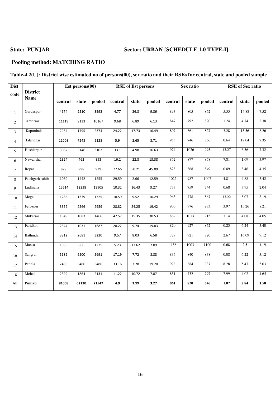### **State: PUNJAB Sector: URBAN [SCHEDULE 1.0 TYPE-I]**

### **Pooling method: MATCHING RATIO**

### **Table-4.2(U): District wise estimated no of persons(00), sex ratio and their RSEs for central, state and pooled sample**

| <b>Dist</b><br>code | <b>District</b> |         | Est persons $(00)$ |        |         | <b>RSE</b> of Est persons |        |         | Sex ratio |        |          | <b>RSE</b> of Sex ratio |        |
|---------------------|-----------------|---------|--------------------|--------|---------|---------------------------|--------|---------|-----------|--------|----------|-------------------------|--------|
|                     | <b>Name</b>     | central | state              | pooled | central | state                     | pooled | central | state     | pooled | central  | state                   | pooled |
| $\mathbf{1}$        | Gurdaspur       | 4674    | 2510               | 3592   | 4.77    | 26.8                      | 9.86   | 893     | 805       | 862    | 5.55     | 14.88                   | 7.52   |
| $\overline{c}$      | Amritsar        | 11119   | 9133               | 10167  | 9.68    | 6.89                      | 6.13   | 847     | 792       | 820    | 1.24     | 4.74                    | 2.38   |
| $\overline{3}$      | Kapurthala      | 2954    | 1795               | 2374   | 24.22   | 17.73                     | 16.49  | 807     | 861       | 827    | 3.28     | 15.56                   | 8.26   |
| $\overline{4}$      | Jalandhar       | 11008   | 7248               | 9128   | 5.9     | 2.65                      | 3.71   | 955     | 746       | 866    | 0.64     | 17.04                   | 7.35   |
| 5                   | Hoshiarpur      | 3082    | 3146               | 3103   | 33.1    | 4.98                      | 16.63  | 974     | 1026      | 995    | 13.27    | 6.56                    | 7.32   |
| 6                   | Nawanshar       | 1324    | 462                | 893    | 16.2    | 22.8                      | 13.38  | 852     | 877       | 858    | 7.81     | 1.69                    | 3.97   |
| $\tau$              | Ropar           | 879     | 998                | 939    | 77.66   | 50.21                     | 45.09  | 828     | 868       | 849    | 0.89     | 8.46                    | 4.35   |
| 8                   | Fatehgarh sahib | 1060    | 1442               | 1255   | 29.59   | 2.66                      | 12.59  | 1022    | 987       | 1007   | 4.81     | 4.88                    | 3.42   |
| 9                   | Ludhiana        | 15614   | 12238              | 13905  | 10.32   | 16.43                     | 9.27   | 733     | 759       | 744    | 0.68     | 3.95                    | 2.04   |
| 10                  | Moga            | 1285    | 1379               | 1325   | 18.59   | 9.52                      | 10.29  | 963     | 778       | 867    | 13.22    | 8.07                    | 8.19   |
| 11                  | Ferozpur        | 3352    | 2566               | 2959   | 28.82   | 24.25                     | 19.42  | 900     | 976       | 933    | 3.97     | 15.26                   | 8.21   |
| 12                  | Mukatsar        | 1849    | 1083               | 1466   | 47.57   | 15.35                     | 30.53  | 862     | 1013      | 915    | 7.14     | 4.08                    | 4.05   |
| 13                  | Faridkot        | 2344    | 1031               | 1687   | 28.22   | 9.74                      | 19.83  | 820     | 927       | 852    | 0.23     | 6.24                    | 3.40   |
| 14                  | Bathinda        | 3812    | 2681               | 3220   | 9.57    | 8.03                      | 6.58   | 779     | 921       | 820    | 2.67     | 16.09                   | 9.12   |
| 15                  | Mansa           | 1585    | 866                | 1225   | 5.23    | 17.62                     | 7.09   | 1156    | 1003      | 1100   | 0.68     | 2.5                     | 1.19   |
| 16                  | Sangrur         | 5182    | 6200               | 5691   | 17.19   | 7.72                      | 8.88   | 835     | 840       | 838    | $0.08\,$ | 6.22                    | 3.12   |
| 17                  | Patiala         | 7486    | 5486               | 6486   | 33.16   | 3.78                      | 19.20  | 978     | 884       | 937    | 8.28     | 5.47                    | 5.03   |
| 18                  | Mohali          | 2399    | 1864               | 2131   | 11.22   | 10.72                     | 7.87   | 851     | 732       | 797    | 7.99     | 4.02                    | 4.65   |
| All                 | Punjab          | 81008   | 62130              | 71547  | 4.9     | 3.99                      | 3.27   | 861     | 830       | 846    | 1.07     | 2.84                    | 1.50   |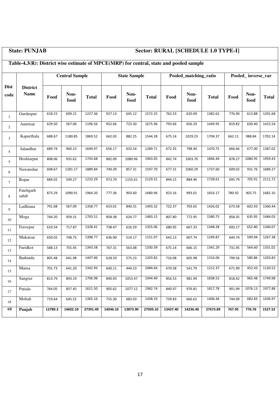### **State: PUNJAB Sector: RURAL [SCHEDULE 1.0 TYPE-I]**

### **Table-4.3(R): District wise estimate of MPCE(MRP) for central, state and pooled sample Dist code District Name Central Sample State Sample Pooled\_matching\_ratio Pooled\_ inverse\_var Food Non-food food Total Food h Non-**<br> **food food food Total Food Non-**<br> **food food food Total Food h**<br> **Food c**<br> **food food Total**  1 Gurdaspur | 618.15 | 609.21 | 1227.36 | 927.13 | 645.12 | 1572.25 | 762.53 | 620.09 | 1382.62 | 776.90 | 613.88 | 1291.68 2 Amritsar | 629.50 | 567.06 | 1196.56 | 952.66 | 723.30 | 1675.96 | 793.66 | 656.29 | 1449.95 | 819.82 | 630.40 | 1415.54 <sup>3</sup>Kapurthala 688.67 1180.85 1869.52 662.03 882.25 1544.28 675.14 1029.23 1704.37 662.11 988.84 1702.14 4 Jalandhar | 689.74 | 960.23 | 1649.97 | 656.17 | 633.54 | 1289.71 | 672.35 | 798.40 | 1470.75 | 666.66 | 677.00 | 1387.02 5 Hoshiarpur 808.06 935.62 1743.68 882.09 1080.96 1963.05 842.74 1003.70 1846.44 878.27 1080.95 1959.43 6 Nawanshar | 608.67 | 1281.17 | 1889.84 | 740.39 | 857.31 | 1597.70 | 677.31 | 1060.29 | 1737.60 | 609.02 | 931.76 | 1689.27 7 Ropar 684.02 549.27 1233.29 973.70 1155.61 2129.31 844.15 884.46 1728.61 695.79 705.91 2111.72 8 Fatehgarh sahib 873.29 1090.91 1964.20 777.36 903.60 1680.96 823.16 993.01 1816.17 780.92 903.75 1682.10 9 Ludhiana 791.68 567.09 1358.77 653.01 840.31 1493.32 722.37 703.65 1426.02 673.58 602.93 1360.44 10 Moga 744.20 959.31 1703.51 858.38 624.77 1483.15 807.80 772.95 1580.75 858.35 635.95 1484.03 11 Ferozpur 610.54 717.87 1328.41 738.47 616.59 1355.06 680.95 667.33 1348.28 693.17 652.80 1340.07 12 Mukatsar 650.02 748.75 1398.77 636.90 514.17 1151.07 642.13 607.74 1249.87 644.74 599.94 1267.38 13 Faridkot 588.13 755.45 1343.58 767.31 563.08 1330.39 675.14 666.15 1341.29 731.95 564.60 1331.02 14 Bathinda 805.48 641.98 1447.46 628.59 575.23 1203.82 710.08 605.98 1316.06 799.56 580.86 1203.83 15 Mansa 701.73 641.20 1342.93 640.11 444.53 1084.64 670.58 541.79 1212.37 671.99 452.43 1120.52 16 Sangrur | 813.79 | 893.19 | 1706.98 | 890.93 | 1053.47 | 1944.40 | 856.53 | 981.99 | 1838.52 | 818.42 | 965.48 | 1749.98 17 Patiala | 764.05 | 857.45 | 1621.50 | 905.62 | 1077.12 | 1982.74 | 840.97 | 976.81 | 1817.78 | 901.99 | 1076.13 | 1977.88 18 Mohali 719.64 645.52 1365.16 755.30 683.03 1438.33 739.83 666.61 1406.44 744.99 682.83 1436.97 **All Punjab 12789.3 14602.10 27391.49 14046.10 13873.90 27920.10 13437.40 14236.40 27673.89 767.95 776.76 1527.52**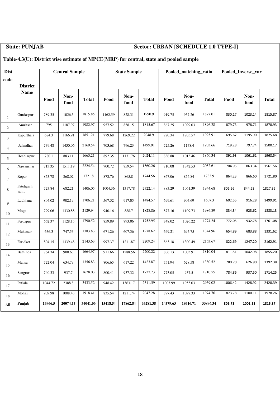## **State: PUNJAB Sector: URBAN [SCHEDULE 1.0 TYPE-I]**

## **Table-4.3(U): District wise estimate of MPCE(MRP) for central, state and pooled sample**

| <b>Dist</b>    |                    |         | <b>Central Sample</b> |              |          | <b>State Sample</b> |              |          | Pooled_matching_ratio |              |         | Pooled_Inverse_var |              |
|----------------|--------------------|---------|-----------------------|--------------|----------|---------------------|--------------|----------|-----------------------|--------------|---------|--------------------|--------------|
| code           | <b>District</b>    |         |                       |              |          |                     |              |          |                       |              |         |                    |              |
|                | <b>Name</b>        | Food    | Non-<br>food          | <b>Total</b> | Food     | Non-<br>food        | <b>Total</b> | Food     | Non-<br>food          | <b>Total</b> | Food    | Non-<br>food       | <b>Total</b> |
| $\mathbf{1}$   | Gurdaspur          | 789.35  | 1026.5                | 1815.85      | 1162.59  | 828.31              | 1990.9       | 919.75   | 957.26                | 1877.01      | 830.17  | 1023.14            | 1815.87      |
| 2              | Amritsar           | 795     | 1187.97               | 1982.97      | 957.52   | 858.15              | 1815.67      | 867.25   | 1029.03               | 1896.28      | 879.73  | 978.71             | 1878.93      |
| 3              | Kapurthala         | 684.3   | 1166.91               | 1851.21      | 779.68   | 1269.22             | 2048.9       | 720.34   | 1205.57               | 1925.91      | 695.62  | 1195.90            | 1875.68      |
| $\overline{4}$ | Jalandhar          | 739.48  | 1430.06               | 2169.54      | 703.68   | 796.23              | 1499.91      | 725.26   | 1178.4                | 1903.66      | 719.28  | 797.74             | 1500.17      |
| 5              | Hoshiarpur         | 780.1   | 883.11                | 1663.21      | 892.35   | 1131.76             | 2024.11      | 836.88   | 1013.46               | 1850.34      | 891.93  | 1061.61            | 1968.54      |
| 6              | Nawanshar          | 713.35  | 1511.19               | 2224.54      | 700.72   | 859.54              | 1560.26      | 710.08   | 1342.53               | 2052.61      | 704.95  | 863.34             | 1561.56      |
| $\tau$         | Ropar              | 853.78  | 868.02                | 1721.8       | 878.76   | 865.8               | 1744.56      | 867.06   | 866.84                | 1733.9       | 864.23  | 866.60             | 1721.80      |
| 8              | Fatehgarh<br>sahib | 723.84  | 682.21                | 1406.05      | 1004.36  | 1317.78             | 2322.14      | 883.29   | 1061.39               | 1944.68      | 806.56  | 844.63             | 1827.35      |
| 9              | Ludhiana           | 804.02  | 902.19                | 1706.21      | 567.52   | 917.05              | 1484.57      | 699.61   | 907.69                | 1607.3       | 602.55  | 916.28             | 1499.91      |
| 10             | Moga               | 799.06  | 1330.88               | 2129.94      | 940.16   | 888.7               | 1828.86      | 877.16   | 1109.73               | 1986.89      | 834.34  | 923.62             | 1883.13      |
| 11             | Ferozpur           | 662.37  | 1128.15               | 1790.52      | 859.89   | 893.06              | 1752.95      | 748.02   | 1026.22               | 1774.24      | 772.05  | 932.78             | 1761.08      |
| 12             | Mukatsar           | 636.3   | 747.53                | 1383.83      | 671.26   | 607.36              | 1278.62      | 649.21   | 695.75                | 1344.96      | 654.89  | 683.88             | 1331.62      |
| 13             | Faridkot           | 804.15  | 1339.48               | 2143.63      | 997.37   | 1211.87             | 2209.24      | 863.18   | 1300.49               | 2163.67      | 822.69  | 1247.20            | 2162.91      |
| 14             | Bathinda           | 764.34  | 900.63                | 1664.97      | 911.66   | 1288.56             | 2200.22      | 806.13   | 1003.91               | 1810.04      | 811.51  | 1042.98            | 1855.20      |
| 15             | Mansa              | 722.04  | 634.79                | 1356.83      | 806.65   | 617.22              | 1423.87      | 751.94   | 628.58                | 1380.52      | 780.70  | 626.90             | 1392.38      |
| 16             | Sangrur            | 740.33  | 937.7                 | 1678.03      | 800.41   | 937.32              | 1737.73      | 773.05   | 937.5                 | 1710.55      | 784.86  | 937.50             | 1714.25      |
| 17             | Patiala            | 1044.72 | 2388.8                | 3433.52      | 948.42   | 1363.17             | 2311.59      | 1003.99  | 1955.03               | 2959.02      | 1006.42 | 1428.92            | 2428.39      |
| 18             | Mohali             | 909.98  | 1008.43               | 1918.41      | 835.54   | 1211.74             | 2047.28      | 877.43   | 1097.33               | 1974.76      | 873.78  | 1100.11            | 1978.26      |
| All            | Punjab             | 13966.5 | 20074.55              | 34041.06     | 15418.54 | 17862.84            | 33281.38     | 14579.63 | 19316.71              | 33896.34     | 806.73  | 1001.53            | 1815.87      |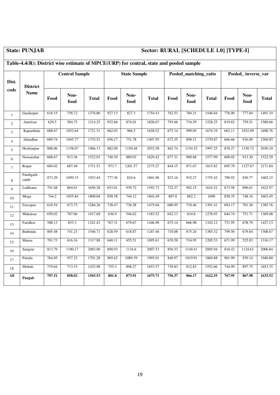## **State: PUNJAB Sector: RURAL [SCHEDULE 1.0] ]TYPE-I]**

| Dist.          | <b>District</b>    |        | <b>Central Sample</b> |              |                     | <b>State Sample</b> |              |        | Pooled_matching_ratio |              |        | Pooled_inverse_var |              |
|----------------|--------------------|--------|-----------------------|--------------|---------------------|---------------------|--------------|--------|-----------------------|--------------|--------|--------------------|--------------|
| code           | <b>Name</b>        | Food   | Non-<br>food          | <b>Total</b> | Food                | Non-<br>food        | <b>Total</b> | Food   | Non-<br>food          | <b>Total</b> | Food   | Non-<br>food       | <b>Total</b> |
| $\mathbf{1}$   | Gurdaspur          | 618.15 | 758.72                | 1376.86      | $\overline{927.13}$ | 827.3               | 1754.43      | 762.53 | 784.31                | 1546.84      | 776.90 | 777.04             | 1491.34      |
| $\overline{2}$ | Amritsar           | 629.5  | 584.75                | 1214.25      | 952.66              | 874.01              | 1826.67      | 793.66 | 734.59                | 1528.25      | 819.82 | 759.51             | 1580.66      |
| $\mathfrak{Z}$ | Kapurthala         | 688.67 | 1032.64               | 1721.31      | 662.03              | 966.5               | 1628.52      | 675.14 | 999.05                | 1674.19      | 662.11 | 1032.09            | 1698.76      |
| $\overline{4}$ | Jalandhar          | 689.74 | 1045.77               | 1735.51      | 656.17              | 751.78              | 1407.95      | 672.35 | 898.51                | 1570.87      | 666.66 | 916.00             | 1560.85      |
| 5              | Hoshiarpur         | 808.06 | 1158.07               | 1966.13      | 882.09              | 1150.48             | 2032.58      | 842.74 | 1154.52               | 1997.25      | 878.27 | 1150.72            | 2030.10      |
| $\sqrt{6}$     | Nawanshar          | 608.67 | 913.36                | 1522.03      | 740.39              | 889.03              | 1629.42      | 677.31 | 900.68                | 1577.99      | 609.02 | 913.30             | 1522.29      |
| $\overline{7}$ | Ropar              | 684.02 | 687.49                | 1371.51      | 973.7               | 1201.57             | 2175.27      | 844.15 | 971.67                | 1815.83      | 695.79 | 1127.67            | 2171.84      |
| 8              | Fatehgarh<br>sahib | 873.29 | 1050.15               | 1923.44      | 777.36              | 824.6               | 1601.96      | 823.16 | 932.27                | 1755.42      | 780.92 | 830.77             | 1602.15      |
| 9              | Ludhiana           | 791.68 | 864.61                | 1656.28      | 653.01              | 939.72              | 1592.73      | 722.37 | 902.15                | 1624.52      | 673.58 | 896.61             | 1622.97      |
| 10             | Moga               | 744.2  | 1055.84               | 1800.04      | 858.38              | 744.12              | 1602.49      | 807.8  | 882.2                 | 1690         | 858.35 | 748.16             | 1603.45      |
| 11             | Ferozpur           | 610.54 | 673.73                | 1284.26      | 738.47              | 736.58              | 1475.04      | 680.95 | 710.46                | 1391.41      | 693.17 | 701.36             | 1385.76      |
| 12             | Mukatsar           | 650.02 | 767.66                | 1417.68      | 636.9               | 546.62              | 1183.52      | 642.13 | 634.8                 | 1276.93      | 644.74 | 751.71             | 1369.08      |
| 13             | Faridkot           | 588.13 | 653.3                 | 1241.43      | 767.31              | 679.67              | 1446.98      | 675.14 | 666.98                | 1342.12      | 731.95 | 678.79             | 1427.13      |
| 14             | Bathinda           | 805.48 | 741.23                | 1546.71      | 628.59              | 618.87              | 1247.46      | 710.08 | 675.24                | 1385.32      | 799.56 | 679.64             | 1308.67      |
| 15             | Mansa              | 701.73 | 616.16                | 1317.88      | 640.11              | 455.51              | 1095.61      | 670.58 | 534.95                | 1205.53      | 671.99 | 525.83             | 1316.17      |
| 16             | Sangrur            | 813.79 | 1190.17               | 2003.96      | 890.93              | 1116.6              | 2007.53      | 856.53 | 1149.41               | 2005.94      | 818.42 | 1124.61            | 2006.84      |
| 17             | Patiala            | 764.05 | 937.23                | 1701.28      | 905.62              | 1089.39             | 1995.01      | 840.97 | 1019.91               | 1860.88      | 901.99 | 939.14             | 1940.80      |
| 18             | Mohali             | 719.64 | 713.33                | 1432.98      | 755.3               | 898.27              | 1653.57      | 739.83 | 812.83                | 1552.66      | 744.99 | 897.75             | 1653.35      |
| All            | Punjab             | 707.51 | 858.02                | 1565.53      | 801.8               | 873.91              | 1675.71      | 756.37 | 866.17                | 1622.55      | 767.95 | 867.98             | 1633.52      |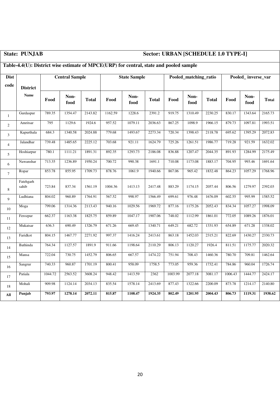## **State: PUNJAB Sector: URBAN [SCHEDULE 1.0 TYPE-I]**

### **Table-4.4(U): District wise estimate of MPCE(URP) for central, state and pooled sample**

| <b>Dist</b>    |                    |         | <b>Central Sample</b> |              |         | <b>State Sample</b> |              |         | Pooled_matching_ratio |              |         | Pooled_inverse_var |              |
|----------------|--------------------|---------|-----------------------|--------------|---------|---------------------|--------------|---------|-----------------------|--------------|---------|--------------------|--------------|
| code           | <b>District</b>    |         |                       |              |         |                     |              |         |                       |              |         |                    |              |
|                | <b>Name</b>        | Food    | Non-<br>food          | <b>Total</b> | Food    | Non-<br>food        | <b>Total</b> | Food    | Non-<br>food          | <b>Total</b> | Food    | Non-<br>food       | <b>Total</b> |
| $\mathbf{1}$   | Gurdaspur          | 789.35  | 1354.47               | 2143.82      | 1162.59 | 1228.6              | 2391.2       | 919.75  | 1310.49               | 2230.25      | 830.17  | 1343.64            | 2165.73      |
| $\overline{2}$ | Amritsar           | 795     | 1129.6                | 1924.6       | 957.52  | 1079.11             | 2036.63      | 867.25  | 1098.9                | 1966.15      | 879.73  | 1097.81            | 1993.51      |
| $\mathfrak{Z}$ | Kapurthala         | 684.3   | 1340.58               | 2024.88      | 779.68  | 1493.67             | 2273.34      | 720.34  | 1398.43               | 2118.78      | 695.62  | 1395.29            | 2072.83      |
| $\overline{4}$ | Jalandhar          | 739.48  | 1485.65               | 2225.12      | 703.68  | 921.11              | 1624.79      | 725.26  | 1261.51               | 1986.77      | 719.28  | 921.59             | 1632.02      |
| 5              | Hoshiarpur         | 780.1   | 1111.21               | 1891.31      | 892.35  | 1293.73             | 2186.08      | 836.88  | 1207.47               | 2044.35      | 891.93  | 1284.99            | 2175.49      |
| 6              | Nawanshar          | 713.35  | 1236.89               | 1950.24      | 700.72  | 990.38              | 1691.1       | 710.08  | 1173.08               | 1883.17      | 704.95  | 993.46             | 1691.64      |
| $\tau$         | Ropar              | 853.78  | 855.95                | 1709.73      | 878.76  | 1061.9              | 1940.66      | 867.06  | 965.42                | 1832.48      | 864.23  | 1057.29            | 1768.96      |
| 8              | Fatehgarh<br>sahib | 723.84  | 837.34                | 1561.19      | 1004.36 | 1413.13             | 2417.48      | 883.29  | 1174.15               | 2057.44      | 806.56  | 1279.97            | 2392.03      |
| 9              | Ludhiana           | 804.02  | 960.89                | 1764.91      | 567.52  | 998.97              | 1566.49      | 699.61  | 976.48                | 1676.09      | 602.55  | 995.99             | 1585.52      |
| 10             | Moga               | 799.06  | 1314.36               | 2113.43      | 940.16  | 1029.56             | 1969.72      | 877.16  | 1175.26               | 2052.43      | 834.34  | 1057.27            | 1998.09      |
| 11             | Ferozpur           | 662.37  | 1163.38               | 1825.75      | 859.89  | 1047.17             | 1907.06      | 748.02  | 1112.99               | 1861.01      | 772.05  | 1089.26            | 1876.01      |
| 12             | Mukatsar           | 636.3   | 690.49                | 1326.79      | 671.26  | 669.45              | 1340.71      | 649.21  | 682.72                | 1331.93      | 654.89  | 671.28             | 1338.02      |
| 13             | Faridkot           | 804.15  | 1467.77               | 2271.92      | 997.37  | 1416.24             | 2413.61      | 863.18  | 1452.03               | 2315.21      | 822.69  | 1430.27            | 2330.73      |
| 14             | Bathinda           | 764.34  | 1127.57               | 1891.9       | 911.66  | 1198.64             | 2110.29      | 806.13  | 1120.27               | 1926.4       | 811.51  | 1175.77            | 2020.32      |
| 15             | Mansa              | 722.04  | 730.75                | 1452.79      | 806.65  | 667.57              | 1474.22      | 751.94  | 708.43                | 1460.36      | 780.70  | 709.81             | 1462.64      |
| 16             | Sangrur            | 740.33  | 960.87                | 1701.19      | 800.41  | 958.09              | 1758.5       | 773.05  | 959.36                | 1732.41      | 784.86  | 960.04             | 1726.74      |
| 17             | Patiala            | 1044.72 | 2563.52               | 3608.24      | 948.42  | 1413.59             | 2362         | 1003.99 | 2077.18               | 3081.17      | 1006.43 | 1444.77            | 2424.17      |
| $18\,$         | Mohali             | 909.98  | 1124.14               | 2034.13      | 835.54  | 1578.14             | 2413.69      | 877.43  | 1322.66               | 2200.09      | 873.78  | 1214.17            | 2140.80      |
| All            | Punjab             | 793.97  | 1278.14               | 2072.11      | 815.87  | 1108.47             | 1924.35      | 802.49  | 1201.95               | 2004.43      | 806.73  | 1119.31            | 1938.62      |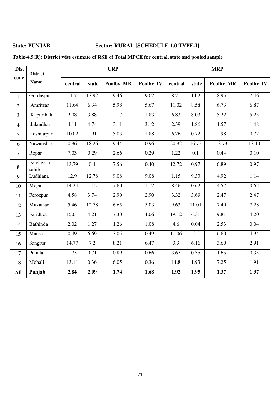## **State: PUNJAB Sector: RURAL [SCHEDULE 1.0 TYPE-I]**

| <b>Dist</b>    | <b>District</b>    |         |       | <b>URP</b> |           |                  |                  | <b>MRP</b> |                   |
|----------------|--------------------|---------|-------|------------|-----------|------------------|------------------|------------|-------------------|
| code           | <b>Name</b>        | central | state | Poolby_MR  | Poolby_IV | central          | state            | Poolby_MR  | Poolby_IV         |
| $\mathbf{1}$   | Gurdaspur          | 11.7    | 13.92 | 9.46       | 9.02      | 8.71             | 14.2             | 8.95       | 7.46              |
| $\overline{2}$ | Amritsar           | 11.64   | 6.34  | 5.98       | 5.67      | 11.02            | 8.58             | 6.73       | 6.87              |
| $\overline{3}$ | Kapurthala         | 2.08    | 3.88  | 2.17       | 1.83      | 6.83             | 8.03             | 5.22       | 5.23              |
| $\overline{4}$ | Jalandhar          | 4.11    | 4.74  | 3.11       | 3.12      | 2.39             | 1.86             | 1.57       | 1.48              |
| 5              | Hoshiarpur         | 10.02   | 1.91  | 5.03       | 1.88      | 6.26             | 0.72             | 2.98       | 0.72              |
| 6              | Nawanshar          | 0.96    | 18.26 | 9.44       | 0.96      | 20.92            | 16.72            | 13.73      | 13.10             |
| $\overline{7}$ | Ropar              | 7.03    | 0.29  | 2.66       | 0.29      | 1.22             | $\overline{0.1}$ | 0.44       | $\overline{0.10}$ |
| $8\,$          | Fatehgarh<br>sahib | 13.79   | 0.4   | 7.56       | 0.40      | 12.72            | 0.97             | 6.89       | 0.97              |
| 9              | Ludhiana           | 12.9    | 12.78 | 9.08       | 9.08      | 1.15             | 9.33             | 4.92       | 1.14              |
| 10             | Moga               | 14.24   | 1.12  | 7.60       | 1.12      | 8.46             | 0.62             | 4.57       | 0.62              |
| 11             | Ferozpur           | 4.58    | 3.74  | 2.90       | 2.90      | 3.32             | 3.69             | 2.47       | 2.47              |
| 12             | Mukatsar           | 5.46    | 12.78 | 6.65       | 5.03      | 9.63             | 11.01            | 7.40       | 7.28              |
| 13             | Faridkot           | 15.01   | 4.21  | 7.30       | 4.06      | 19.12            | 4.31             | 9.81       | 4.20              |
| 14             | <b>Bathinda</b>    | 2.02    | 1.27  | 1.26       | 1.08      | $4.\overline{6}$ | 0.04             | 2.53       | 0.04              |
| 15             | Mansa              | 0.49    | 6.69  | 3.05       | 0.49      | 11.06            | 5.5              | 6.60       | 4.94              |
| 16             | Sangrur            | 14.77   | 7.2   | 8.21       | 6.47      | 3.3              | 6.16             | 3.60       | 2.91              |
| 17             | Patiala            | 1.75    | 0.71  | 0.89       | 0.66      | 3.67             | 0.35             | 1.65       | 0.35              |
| 18             | Mohali             | 13.11   | 0.36  | 6.05       | 0.36      | 14.8             | 1.93             | 7.25       | 1.91              |
| All            | Punjab             | 2.84    | 2.09  | 1.74       | 1.68      | 1.92             | 1.95             | 1.37       | 1.37              |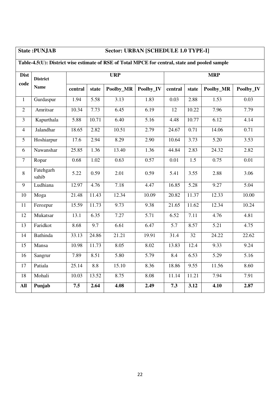## **State :PUNJAB Sector: URBAN [SCHEDULE 1.0 TYPE-I]**

## **Table-4.5(U): District wise estimate of RSE of Total MPCE for central, state and pooled sample**

| <b>Dist</b>    | <b>District</b>    |         |       | <b>URP</b> |                   |                  |                    | <b>MRP</b>        |                   |
|----------------|--------------------|---------|-------|------------|-------------------|------------------|--------------------|-------------------|-------------------|
| code           | <b>Name</b>        | central | state | Poolby_MR  | Poolby_IV         | central          | state              | Poolby_MR         | Poolby_IV         |
| $\mathbf{1}$   | Gurdaspur          | 1.94    | 5.58  | 3.13       | 1.83              | 0.03             | 2.88               | 1.53              | 0.03              |
| $\overline{2}$ | Amritsar           | 10.34   | 7.73  | 6.45       | 6.19              | 12               | 10.22              | 7.96              | 7.79              |
| 3              | Kapurthala         | 5.88    | 10.71 | 6.40       | $\overline{5.16}$ | 4.48             | 10.77              | 6.12              | 4.14              |
| $\overline{4}$ | Jalandhar          | 18.65   | 2.82  | 10.51      | 2.79              | 24.67            | 0.71               | 14.06             | 0.71              |
| 5              | Hoshiarpur         | 17.6    | 2.94  | 8.29       | 2.90              | 10.64            | 3.73               | 5.20              | 3.53              |
| 6              | Nawanshar          | 25.85   | 1.36  | 13.40      | 1.36              | 44.84            | 2.83               | 24.32             | 2.82              |
| $\overline{7}$ | Ropar              | 0.68    | 1.02  | 0.63       | 0.57              | 0.01             | 1.5                | 0.75              | $\overline{0.01}$ |
| 8              | Fatehgarh<br>sahib | 5.22    | 0.59  | 2.01       | 0.59              | 5.41             | 3.55               | 2.88              | 3.06              |
| 9              | Ludhiana           | 12.97   | 4.76  | 7.18       | 4.47              | 16.85            | 5.28               | 9.27              | 5.04              |
| 10             | Moga               | 21.48   | 11.43 | 12.34      | 10.09             | 20.82            | 11.37              | 12.33             | 10.00             |
| 11             | Ferozpur           | 15.59   | 11.73 | 9.73       | 9.38              | 21.65            | 11.62              | 12.34             | 10.24             |
| 12             | Mukatsar           | 13.1    | 6.35  | 7.27       | $\overline{5.71}$ | 6.52             | 7.11               | 4.76              | 4.81              |
| 13             | Faridkot           | 8.68    | 9.7   | 6.61       | 6.47              | $\overline{5.7}$ | 8.57               | 5.21              | 4.75              |
| 14             | <b>Bathinda</b>    | 33.13   | 24.86 | 21.21      | 19.91             | 31.4             | $\overline{32}$    | 24.22             | 22.62             |
| 15             | Mansa              | 10.98   | 11.73 | 8.05       | 8.02              | 13.83            | 12.4               | 9.33              | 9.24              |
| 16             | Sangrur            | 7.89    | 8.51  | 5.80       | 5.79              | 8.4              | 6.53               | $\overline{5.29}$ | 5.16              |
| 17             | Patiala            | 25.14   | 8.8   | 15.10      | 8.36              | 18.86            | 9.55               | 11.56             | 8.60              |
| 18             | Mohali             | 10.03   | 13.52 | 8.75       | 8.08              | 11.14            | $\overline{11.21}$ | 7.94              | 7.91              |
| All            | Punjab             | 7.5     | 2.64  | 4.08       | 2.49              | 7.3              | 3.12               | 4.10              | 2.87              |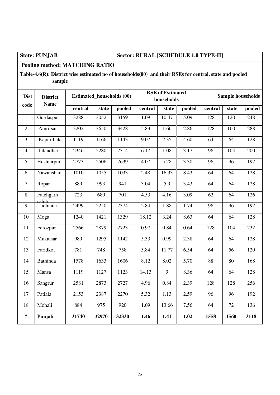### **State: PUNJAB Sector: RURAL [SCHEDULE 1.0 TYPE-II]**

### **Pooling method: MATCHING RATIO**

### **Table-4.6(R): District wise estimated no of households(00) and their RSEs for central, state and pooled sample**

| <b>Dist</b><br>code | <b>District</b><br><b>Name</b> |         | <b>Estimated_households (00)</b> |        |                   | <b>RSE</b> of Estimated<br>households |                   |                 |                 | Sample households |
|---------------------|--------------------------------|---------|----------------------------------|--------|-------------------|---------------------------------------|-------------------|-----------------|-----------------|-------------------|
|                     |                                | central | state                            | pooled | central           | state                                 | pooled            | central         | state           | pooled            |
| $\mathbf{1}$        | Gurdaspur                      | 3288    | 3052                             | 3159   | 1.09              | 10.47                                 | $\overline{5.09}$ | 128             | 120             | 248               |
| $\overline{2}$      | Amritsar                       | 3202    | 3650                             | 3428   | $\overline{5.83}$ | 1.66                                  | 2.86              | <sup>128</sup>  | 160             | 288               |
| $\overline{3}$      | Kapurthala                     | 1119    | 1166                             | 1143   | 9.07              | 2.35                                  | 4.60              | 64              | 64              | 128               |
| $\overline{4}$      | Jalandhar                      | 2346    | 2280                             | 2314   | 6.17              | 1.08                                  | 3.17              | 96              | 104             | 200               |
| $\overline{5}$      | Hoshiarpur                     | 2773    | 2506                             | 2639   | 4.07              | 5.28                                  | 3.30              | 96              | 96              | 192               |
| 6                   | Nawanshar                      | 1010    | 1055                             | 1033   | 2.48              | 16.33                                 | 8.43              | 64              | 64              | 128               |
| $\overline{7}$      | Ropar                          | 889     | 993                              | 941    | 3.04              | 5.9                                   | 3.43              | 64              | 64              | 128               |
| $\,8\,$             | Fatehgarh<br>sahih             | 723     | 680                              | 701    | 4.53              | 4.16                                  | 3.09              | $\overline{62}$ | $\overline{64}$ | 126               |
| 9                   | Ludhiana                       | 2499    | 2250                             | 2374   | 2.84              | 1.88                                  | 1.74              | 96              | 96              | 192               |
| 10                  | Moga                           | 1240    | 1421                             | 1329   | 18.12             | 3.24                                  | 8.63              | 64              | 64              | 128               |
| 11                  | Ferozpur                       | 2566    | 2879                             | 2723   | 0.97              | 0.84                                  | 0.64              | 128             | 104             | 232               |
| 12                  | Mukatsar                       | 989     | 1295                             | 1142   | 5.33              | 0.99                                  | 2.38              | $\overline{64}$ | $\overline{64}$ | 128               |
| 13                  | Faridkot                       | 781     | 748                              | 758    | 5.84              | 11.77                                 | 6.54              | 64              | 56              | 120               |
| 14                  | <b>Bathinda</b>                | 1578    | 1633                             | 1606   | 8.12              | 8.02                                  | $\overline{5.70}$ | 88              | $\overline{80}$ | 168               |
| 15                  | Mansa                          | 1119    | 1127                             | 1123   | 14.13             | $\overline{9}$                        | 8.36              | $\overline{64}$ | 64              | 128               |
| 16                  | Sangrur                        | 2581    | 2873                             | 2727   | 4.96              | 0.84                                  | 2.39              | 128             | 128             | 256               |
| 17                  | Patiala                        | 2153    | 2387                             | 2270   | 5.32              | 1.13                                  | 2.59              | 96              | 96              | 192               |
| 18                  | Mohali                         | 884     | 975                              | 920    | 1.09              | 13.66                                 | 7.56              | 64              | 72              | 136               |
| $\ddot{\mathbf{c}}$ | Punjab                         | 31740   | 32970                            | 32330  | 1.46              | 1.41                                  | 1.02              | 1558            | 1560            | 3118              |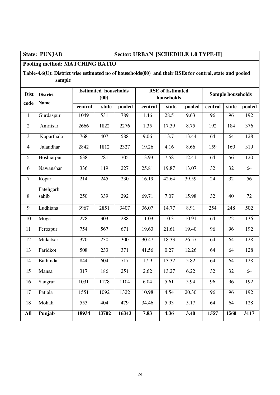### **State: PUNJAB Sector: URBAN [SCHEDULE 1.0 TYPE-II]**

### **Pooling method: MATCHING RATIO**

### **Table-4.6(U): District wise estimated no of households(00) and their RSEs for central, state and pooled sample**

| <b>Dist</b>             | <b>District</b><br><b>Name</b> |                  | <b>Estimated_households</b><br>(00) |                  |         | <b>RSE</b> of Estimated<br>households |                    |                 | <b>Sample households</b> |                  |
|-------------------------|--------------------------------|------------------|-------------------------------------|------------------|---------|---------------------------------------|--------------------|-----------------|--------------------------|------------------|
| code                    |                                | central          | state                               | pooled           | central | state                                 | pooled             | central         | state                    | pooled           |
| $\mathbf{1}$            | Gurdaspur                      | 1049             | 531                                 | 789              | 1.46    | 28.5                                  | 9.63               | 96              | 96                       | 192              |
| $\overline{2}$          | Amritsar                       | 2666             | 1822                                | 2276             | 1.35    | 17.39                                 | 8.75               | 192             | 184                      | 376              |
| $\overline{\mathbf{3}}$ | Kapurthala                     | 768              | 407                                 | 588              | 9.06    | 13.7                                  | 13.44              | $\overline{64}$ | 64                       | 128              |
| $\overline{4}$          | Jalandhar                      | 2842             | 1812                                | 2327             | 19.26   | 4.16                                  | 8.66               | 159             | 160                      | 319              |
| 5                       | Hoshiarpur                     | 638              | 781                                 | 705              | 13.93   | 7.58                                  | 12.41              | 64              | 56                       | 120              |
| 6                       | Nawanshar                      | 336              | 119                                 | 227              | 25.81   | 19.87                                 | 13.07              | 32              | 32                       | 64               |
| $\overline{7}$          | Ropar                          | 214              | 245                                 | 230              | 16.19   | 42.64                                 | 39.59              | 24              | 32                       | 56               |
| 8                       | Fatehgarh<br>sahib             | 250              | 339                                 | 292              | 69.71   | 7.07                                  | 15.98              | 32              | 40                       | 72               |
| 9                       | Ludhiana                       | 3967             | 2851                                | 3407             | 36.07   | 14.77                                 | 8.91               | 254             | 248                      | $\overline{502}$ |
| 10                      | Moga                           | 278              | 303                                 | 288              | 11.03   | 10.3                                  | 10.91              | 64              | 72                       | 136              |
| 11                      | Ferozpur                       | 754              | 567                                 | $\overline{671}$ | 19.63   | 21.61                                 | 19.40              | 96              | 96                       | 192              |
| 12                      | Mukatsar                       | 370              | 230                                 | $\overline{300}$ | 30.47   | 18.33                                 | 26.57              | 64              | 64                       | 128              |
| 13                      | Faridkot                       | 508              | 233                                 | 371              | 41.56   | 0.27                                  | 12.26              | 64              | 64                       | 128              |
| 14                      | <b>Bathinda</b>                | 844              | 604                                 | 717              | 17.9    | 13.32                                 | 5.82               | 64              | 64                       | 128              |
| 15                      | Mansa                          | 317              | 186                                 | 251              | 2.62    | 13.27                                 | 6.22               | 32              | 32                       | $\overline{64}$  |
| 16                      | Sangrur                        | 1031             | 1178                                | 1104             | 6.04    | 5.61                                  | 5.94               | 96              | 96                       | 192              |
| 17                      | Patiala                        | 1551             | 1092                                | 1322             | 10.98   | 4.54                                  | $\overline{20.30}$ | 96              | $\overline{96}$          | 192              |
| 18                      | Mohali                         | $\overline{553}$ | 404                                 | 479              | 34.46   | 5.93                                  | $\overline{5.17}$  | 64              | 64                       | 128              |
| <b>All</b>              | Punjab                         | 18934            | 13702                               | 16343            | 7.83    | 4.36                                  | 3.40               | 1557            | 1560                     | 3117             |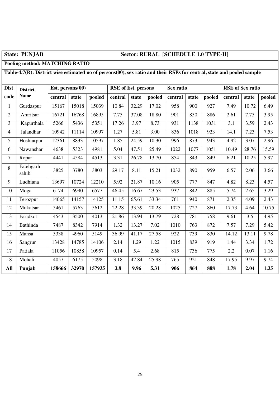### **State: PUNJAB Sector: RURAL [SCHEDULE 1.0 TYPE-II]**

### **Pooling method: MATCHING RATIO**

### **Table-4.7(R): District wise estimated no of persons(00), sex ratio and their RSEs for central, state and pooled sample**

| <b>Dist</b>    | <b>District</b>    | Est. persons $(00)$ |       |        | <b>RSE</b> of Est. persons |       |        | Sex ratio |       |        | <b>RSE</b> of Sex ratio |       |        |
|----------------|--------------------|---------------------|-------|--------|----------------------------|-------|--------|-----------|-------|--------|-------------------------|-------|--------|
| code           | <b>Name</b>        | central             | state | pooled | central                    | state | pooled | central   | state | pooled | central                 | state | pooled |
| 1              | Gurdaspur          | 15167               | 15018 | 15039  | 10.84                      | 32.29 | 17.02  | 958       | 900   | 927    | 7.49                    | 10.72 | 6.49   |
| $\overline{2}$ | Amritsar           | 16721               | 16768 | 16895  | 7.75                       | 37.08 | 18.80  | 901       | 850   | 886    | 2.61                    | 7.75  | 3.95   |
| $\overline{3}$ | Kapurthala         | 5266                | 5436  | 5351   | 17.26                      | 3.97  | 8.73   | 931       | 1138  | 1031   | 3.1                     | 3.59  | 2.43   |
| $\overline{4}$ | Jalandhar          | 10942               | 11114 | 10997  | 1.27                       | 5.81  | 3.00   | 836       | 1018  | 923    | 14.1                    | 7.23  | 7.53   |
| 5              | Hoshiarpur         | 12361               | 8833  | 10597  | 1.85                       | 24.59 | 10.30  | 996       | 873   | 943    | 4.92                    | 3.07  | 2.96   |
| 6              | Nawanshar          | 4638                | 5323  | 4981   | 5.04                       | 47.51 | 25.49  | 1022      | 1077  | 1051   | 10.49                   | 28.76 | 15.59  |
| $\tau$         | Ropar              | 4441                | 4584  | 4513   | 3.31                       | 26.78 | 13.70  | 854       | 843   | 849    | 6.21                    | 10.25 | 5.97   |
| 8              | Fatehgarh<br>sahib | 3825                | 3780  | 3803   | 29.17                      | 8.11  | 15.21  | 1032      | 890   | 959    | 6.57                    | 2.06  | 3.66   |
| 9              | Ludhiana           | 13697               | 10724 | 12210  | 5.92                       | 21.87 | 10.16  | 905       | 777   | 847    | 4.82                    | 8.23  | 4.57   |
| 10             | Moga               | 6174                | 6990  | 6577   | 46.45                      | 16.67 | 23.53  | 937       | 842   | 885    | 5.74                    | 2.65  | 3.29   |
| 11             | Ferozpur           | 14065               | 14157 | 14125  | 11.15                      | 65.61 | 33.34  | 761       | 940   | 871    | 2.35                    | 4.09  | 2.43   |
| 12             | Mukatsar           | 5461                | 5763  | 5612   | 22.28                      | 33.39 | 20.28  | 1025      | 727   | 860    | 17.73                   | 4.64  | 10.75  |
| 13             | Faridkot           | 4543                | 3500  | 4013   | 21.86                      | 13.94 | 13.79  | 728       | 781   | 758    | 9.61                    | 3.5   | 4.95   |
| 14             | <b>Bathinda</b>    | 7487                | 8342  | 7914   | 1.32                       | 13.27 | 7.02   | 1010      | 763   | 872    | 7.57                    | 7.29  | 5.42   |
| 15             | Mansa              | 5338                | 4960  | 5149   | 36.99                      | 41.17 | 27.58  | 922       | 739   | 830    | 14.12                   | 13.11 | 9.78   |
| 16             | Sangrur            | 13428               | 14785 | 14106  | 2.14                       | 1.29  | 1.22   | 1015      | 839   | 919    | 1.44                    | 3.34  | 1.72   |
| 17             | Patiala            | 11056               | 10858 | 10957  | 0.14                       | 5.4   | 2.68   | 815       | 736   | 775    | 2.2                     | 0.07  | 1.16   |
| 18             | Mohali             | 4057                | 6175  | 5098   | 3.18                       | 42.84 | 25.98  | 765       | 921   | 848    | 17.95                   | 9.97  | 9.74   |
| All            | Punjab             | 158666              | 32970 | 157935 | 3.8                        | 9.96  | 5.31   | 906       | 864   | 888    | 1.78                    | 2.04  | 1.35   |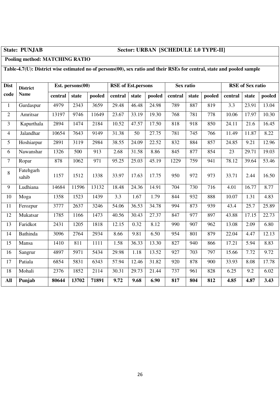### **State: PUNJAB Sector: URBAN [SCHEDULE 1.0 TYPE-II]**

### **Pooling method: MATCHING RATIO**

### **Table-4.7(U): District wise estimated no of persons(00), sex ratio and their RSEs for central, state and pooled sample**

| <b>Dist</b>    | <b>District</b>    |         | Est. persons $(00)$ |        | <b>RSE</b> of Est.persons |       |        | Sex ratio |       |        |                  | <b>RSE</b> of Sex ratio |        |
|----------------|--------------------|---------|---------------------|--------|---------------------------|-------|--------|-----------|-------|--------|------------------|-------------------------|--------|
| code           | <b>Name</b>        | central | state               | pooled | central                   | state | pooled | central   | state | pooled | central          | state                   | pooled |
| $\mathbf{1}$   | Gurdaspur          | 4979    | 2343                | 3659   | 29.48                     | 46.48 | 24.98  | 789       | 887   | 819    | $\overline{3.3}$ | 23.91                   | 13.04  |
| $\overline{2}$ | Amritsar           | 13197   | 9746                | 11649  | 23.67                     | 33.19 | 19.30  | 768       | 781   | 778    | 10.06            | 17.97                   | 10.30  |
| $\overline{3}$ | Kapurthala         | 2894    | 1474                | 2184   | 10.52                     | 47.57 | 17.50  | 818       | 918   | 850    | 24.11            | 21.6                    | 16.45  |
| $\overline{4}$ | Jalandhar          | 10654   | 7643                | 9149   | 31.38                     | 50    | 27.75  | 781       | 745   | 766    | 11.49            | 11.87                   | 8.22   |
| 5              | Hoshiarpur         | 2891    | 3119                | 2984   | 38.55                     | 24.09 | 22.52  | 832       | 884   | 857    | 24.85            | 9.21                    | 12.96  |
| 6              | Nawanshar          | 1326    | 500                 | 913    | 2.68                      | 31.58 | 8.86   | 845       | 877   | 854    | 23               | 29.71                   | 19.03  |
| $\tau$         | Ropar              | 878     | 1062                | 971    | 95.25                     | 25.03 | 45.19  | 1229      | 759   | 941    | 78.12            | 39.64                   | 53.46  |
| 8              | Fatehgarh<br>sahib | 1157    | 1512                | 1338   | 33.97                     | 17.63 | 17.75  | 950       | 972   | 973    | 33.71            | 2.44                    | 16.50  |
| 9              | Ludhiana           | 14684   | 11596               | 13132  | 18.48                     | 24.36 | 14.91  | 704       | 730   | 716    | 4.01             | 16.77                   | 8.77   |
| 10             | Moga               | 1358    | 1523                | 1439   | 3.3                       | 1.67  | 1.79   | 844       | 932   | 888    | 10.07            | 1.31                    | 4.83   |
| 11             | Ferozpur           | 3777    | 2637                | 3246   | 54.06                     | 36.53 | 34.78  | 994       | 873   | 939    | 43.4             | 25.7                    | 25.89  |
| 12             | Mukatsar           | 1785    | 1166                | 1473   | 40.56                     | 30.43 | 27.37  | 847       | 977   | 897    | 43.88            | 17.15                   | 22.73  |
| 13             | Faridkot           | 2431    | 1205                | 1818   | 12.15                     | 0.32  | 8.12   | 990       | 907   | 962    | 13.08            | 2.09                    | 6.80   |
| 14             | <b>Bathinda</b>    | 3096    | 2764                | 2934   | 8.66                      | 9.81  | 6.50   | 954       | 801   | 879    | 22.04            | 4.47                    | 12.13  |
| 15             | Mansa              | 1410    | 811                 | 1111   | 1.58                      | 36.33 | 13.30  | 827       | 940   | 866    | 17.21            | 5.94                    | 8.83   |
| 16             | Sangrur            | 4897    | 5971                | 5434   | 29.98                     | 1.18  | 13.52  | 927       | 703   | 797    | 15.66            | 7.72                    | 9.72   |
| 17             | Patiala            | 6854    | 5831                | 6343   | 57.94                     | 12.46 | 31.82  | 920       | 878   | 900    | 33.93            | 8.08                    | 17.78  |
| 18             | Mohali             | 2376    | 1852                | 2114   | 30.31                     | 29.73 | 21.44  | 737       | 961   | 828    | 6.25             | 9.2                     | 6.02   |
| <b>All</b>     | Punjab             | 80644   | 13702               | 71891  | 9.72                      | 9.68  | 6.90   | 817       | 804   | 812    | 4.85             | 4.87                    | 3.43   |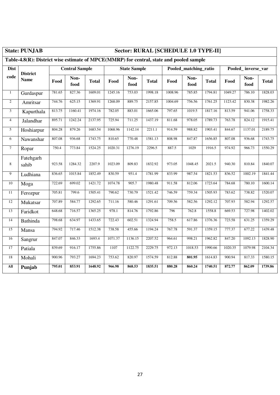### **State: PUNJAB Sector: RURAL [SCHEDULE 1.0 TYPE-II]**

## **Table-4.8(R): District wise estimate of MPCE(MMRP) for central, state and pooled sample**

| <b>Dist</b>    | <b>District</b>    |        | <b>Central Sample</b> |              |         | <b>State Sample</b> |              |         | Pooled_matching_ratio |              | Pooled_inverse_var |              |              |
|----------------|--------------------|--------|-----------------------|--------------|---------|---------------------|--------------|---------|-----------------------|--------------|--------------------|--------------|--------------|
| code           | <b>Name</b>        | Food   | Non-<br>food          | <b>Total</b> | Food    | Non-<br>food        | <b>Total</b> | Food    | Non-<br>food          | <b>Total</b> | Food               | Non-<br>food | <b>Total</b> |
| $\mathbf{1}$   | Gurdaspur          | 781.65 | 827.36                | 1609.01      | 1245.16 | 753.03              | 1998.18      | 1008.96 | 785.85                | 1794.81      | 1049.27            | 786.10       | 1828.03      |
| $\sqrt{2}$     | Amritsar           | 744.76 | 625.15                | 1369.91      | 1268.09 | 889.75              | 2157.85      | 1004.69 | 756.56                | 1761.25      | 1123.42            | 830.38       | 1982.26      |
| $\mathfrak{Z}$ | Kapurthala         | 813.75 | 1160.41               | 1974.16      | 782.05  | 883.01              | 1665.06      | 797.65  | 1019.5                | 1817.16      | 813.59             | 941.06       | 1758.33      |
| $\overline{4}$ | Jalandhar          | 895.71 | 1242.24               | 2137.95      | 725.94  | 711.25              | 1437.19      | 811.68  | 978.05                | 1789.73      | 763.78             | 824.12       | 1915.41      |
| $\sqrt{5}$     | Hoshiarpur         | 804.28 | 879.26                | 1683.54      | 1068.96 | 1142.14             | 2211.1       | 914.59  | 988.82                | 1903.41      | 844.67             | 1137.01      | 2189.75      |
| 6              | Nawanshar          | 807.08 | 936.68                | 1743.75      | 810.65  | 770.48              | 1581.13      | 808.98  | 847.87                | 1656.85      | 807.08             | 936.68       | 1743.75      |
| $\overline{7}$ | Ropar              | 750.4  | 773.84                | 1524.25      | 1020.31 | 1276.19             | 2296.5       | 887.5   | 1029                  | 1916.5       | 974.92             | 966.73       | 1550.29      |
| 8              | Fatehgarh<br>sahib | 923.58 | 1284.32               | 2207.9       | 1023.09 | 809.83              | 1832.92      | 973.05  | 1048.45               | 2021.5       | 940.30             | 810.84       | 1840.07      |
| 9              | Ludhiana           | 836.65 | 1015.84               | 1852.49      | 830.59  | 951.4               | 1781.99      | 833.99  | 987.54                | 1821.53      | 836.52             | 1002.19      | 1841.44      |
| 10             | Moga               | 722.69 | 699.02                | 1421.72      | 1074.78 | 905.7               | 1980.48      | 911.58  | 812.06                | 1723.64      | 784.68             | 780.10       | 1600.14      |
| 11             | Ferozpur           | 705.81 | 799.6                 | 1505.41      | 790.62  | 730.79              | 1521.42      | 746.59  | 759.34                | 1505.93      | 783.62             | 738.82       | 1520.07      |
| 12             | Mukatsar           | 707.89 | 584.77                | 1292.65      | 711.16  | 580.46              | 1291.61      | 709.56  | 582.56                | 1292.12      | 707.93             | 582.94       | 1292.57      |
| 13             | Faridkot           | 648.68 | 716.57                | 1365.25      | 978.1   | 814.76              | 1792.86      | 796     | 762.8                 | 1558.8       | 669.53             | 727.98       | 1402.02      |
| 14             | <b>Bathinda</b>    | 798.68 | 634.97                | 1433.65      | 722.43  | 602.51              | 1324.94      | 758.5   | 617.86                | 1376.36      | 723.58             | 631.25       | 1359.29      |
| 15             | Mansa              | 794.92 | 717.46                | 1512.38      | 738.58  | 455.66              | 1194.24      | 767.78  | 591.37                | 1359.15      | 777.37             | 677.22       | 1439.48      |
| 16             | Sangrur            | 847.07 | 846.33                | 1693.4       | 1071.37 | 1136.15             | 2207.52      | 964.61  | 998.21                | 1962.82      | 847.20             | 1092.13      | 1828.90      |
| 17             | Patiala            | 839.69 | 916.17                | 1755.86      | 1107    | 1122.75             | 2229.75      | 972.13  | 1018.53               | 1990.66      | 1020.35            | 1079.98      | 2104.34      |
| 18             | Mohali             | 900.96 | 793.27                | 1694.23      | 753.62  | 820.97              | 1574.59      | 812.88  | 801.95                | 1614.83      | 900.94             | 817.33       | 1580.15      |
| All            | Punjab             | 795.01 | 853.91                | 1648.92      | 966.98  | 868.53              | 1835.51      | 880.28  | 860.24                | 1740.51      | 872.77             | 862.09       | 1739.86      |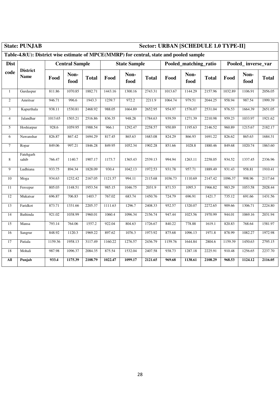|                 | <b>State: PUNJAB</b>                                                                    | <b>Sector: URBAN [SCHEDULE 1.0 TYPE-II]</b> |                       |              |         |                     |              |         |                       |              |         |                    |              |
|-----------------|-----------------------------------------------------------------------------------------|---------------------------------------------|-----------------------|--------------|---------|---------------------|--------------|---------|-----------------------|--------------|---------|--------------------|--------------|
|                 | Table-4.8(U): District wise estimate of MPCE(MMRP) for central, state and pooled sample |                                             |                       |              |         |                     |              |         |                       |              |         |                    |              |
| <b>Dist</b>     |                                                                                         |                                             | <b>Central Sample</b> |              |         | <b>State Sample</b> |              |         | Pooled matching ratio |              |         | Pooled inverse var |              |
| code            | <b>District</b><br><b>Name</b>                                                          | Food                                        | Non-<br>food          | <b>Total</b> | Food    | Non-<br>food        | <b>Total</b> | Food    | Non-<br>food          | <b>Total</b> | Food    | Non-<br>food       | <b>Total</b> |
| $\mathbf{1}$    | Gurdaspur                                                                               | 811.86                                      | 1070.85               | 1882.71      | 1443.16 | 1300.16             | 2743.31      | 1013.67 | 1144.29               | 2157.96      | 1032.89 | 1106.91            | 2056.05      |
| $\overline{c}$  | Amritsar                                                                                | 946.71                                      | 996.6                 | 1943.3       | 1239.7  | 972.2               | 2211.9       | 1064.74 | 979.51                | 2044.25      | 958.94  | 987.54             | 1999.39      |
| $\overline{3}$  | Kapurthala                                                                              | 938.11                                      | 1530.81               | 2468.92      | 988.05  | 1664.89             | 2652.95      | 954.97  | 1576.07               | 2531.04      | 976.53  | 1664.39            | 2651.05      |
| $\overline{4}$  | Jalandhar                                                                               | 1013.65                                     | 1503.21               | 2516.86      | 836.35  | 948.28              | 1784.63      | 939.59  | 1271.39               | 2210.98      | 959.23  | 1033.97            | 1921.62      |
| 5               | Hoshiarpur                                                                              | 928.6                                       | 1059.95               | 1988.54      | 966.1   | 1292.47             | 2258.57      | 950.89  | 1195.63               | 2146.52      | 960.89  | 1215.67            | 2182.17      |
| 6               | Nawanshar                                                                               | 826.87                                      | 867.42                | 1694.29      | 817.45  | 865.63              | 1683.08      | 824.29  | 866.93                | 1691.22      | 826.62  | 865.63             | 1684.31      |
| $\overline{7}$  | Ropar                                                                                   | 849.06                                      | 997.21                | 1846.28      | 849.95  | 1052.34             | 1902.28      | 851.66  | 1028.8                | 1880.46      | 849.68  | 1020.74            | 1863.60      |
| $\,8\,$         | Fatehgarh<br>sahib                                                                      | 766.47                                      | 1140.7                | 1907.17      | 1173.7  | 1365.43             | 2539.13      | 994.94  | 1263.11               | 2258.05      | 934.52  | 1337.45            | 2336.96      |
| 9               | Ludhiana                                                                                | 933.75                                      | 894.34                | 1828.09      | 930.4   | 1042.13             | 1972.53      | 931.78  | 957.71                | 1889.49      | 931.43  | 958.81             | 1910.41      |
| 10              | Moga                                                                                    | 934.63                                      | 1232.42               | 2167.05      | 1121.57 | 994.11              | 2115.68      | 1036.73 | 1110.69               | 2147.42      | 1096.37 | 998.96             | 2117.64      |
| 11              | Ferozpur                                                                                | 805.03                                      | 1148.51               | 1953.54      | 985.15  | 1046.75             | 2031.9       | 871.53  | 1095.3                | 1966.82      | 983.29  | 1053.58            | 2028.44      |
| 12              | Mukatsar                                                                                | 696.87                                      | 706.83                | 1403.7       | 767.02  | 683.74              | 1450.76      | 724.79  | 696.91                | 1421.7       | 735.12  | 691.66             | 1431.56      |
| $\overline{13}$ | Faridkot                                                                                | 873.71                                      | 1331.66               | 2205.37      | 1111.63 | 1296.7              | 2408.33      | 952.57  | 1320.07               | 2272.65      | 909.66  | 1306.71            | 2224.80      |
| 14              | Bathinda                                                                                | 921.02                                      | 1038.99               | 1960.01      | 1060.4  | 1096.34             | 2156.74      | 947.44  | 1023.56               | 1970.99      | 944.01  | 1069.16            | 2031.94      |
| 15              | Mansa                                                                                   | 793.14                                      | 764.06                | 1557.2       | 922.04  | 804.63              | 1726.67      | 840.22  | 778.88                | 1619.1       | 820.83  | 768.64             | 1581.97      |
| 16              | Sangrur                                                                                 | 848.92                                      | 1120.3                | 1969.22      | 897.62  | 1076.3              | 1973.92      | 875.68  | 1096.13               | 1971.8       | 878.99  | 1082.27            | 1972.98      |
| 17              | Patiala                                                                                 | 1159.36                                     | 1958.13               | 3117.49      | 1160.22 | 1276.57             | 2436.79      | 1159.76 | 1644.84               | 2804.6       | 1159.39 | 1450.63            | 2795.15      |
| 18              | Mohali                                                                                  | 987.98                                      | 1096.37               | 2084.35      | 875.54  | 1532.04             | 2407.58      | 938.73  | 1287.18               | 2225.91      | 910.48  | 1256.65            | 2237.70      |
| All             | Punjab                                                                                  | 933.4                                       | 1175.39               | 2108.79      | 1022.47 | 1099.17             | 2121.65      | 969.68  | 1138.61               | 2108.29      | 968.53  | 1124.12            | 2116.05      |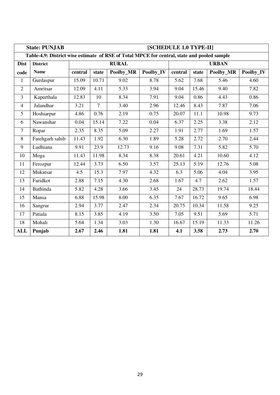|                | [SCHEDULE 1.0 TYPE-II]<br><b>State: PUNJAB</b>                                              |         |                   |                   |           |         |                   |              |           |  |  |  |
|----------------|---------------------------------------------------------------------------------------------|---------|-------------------|-------------------|-----------|---------|-------------------|--------------|-----------|--|--|--|
|                | Table-4.9: District wise estimate of RSE of Total MPCE for central, state and pooled sample |         |                   |                   |           |         |                   |              |           |  |  |  |
| <b>Dist</b>    | <b>District</b>                                                                             |         |                   | <b>RURAL</b>      |           |         |                   | <b>URBAN</b> |           |  |  |  |
| code           | <b>Name</b>                                                                                 | central | state             | Poolby_MR         | Poolby_IV | central | state             | Poolby_MR    | Poolby_IV |  |  |  |
| $\mathbf{1}$   | Gurdaspur                                                                                   | 15.09   | 10.71             | 9.02              | 8.78      | 5.62    | 7.68              | 5.46         | 4.60      |  |  |  |
| $\overline{2}$ | Amritsar                                                                                    | 12.09   | $\overline{4.11}$ | $\overline{5.33}$ | 3.94      | 9.04    | 15.46             | 9.40         | 7.82      |  |  |  |
| $\overline{3}$ | Kapurthala                                                                                  | 12.83   | 10                | 8.34              | 7.91      | 9.04    | 0.86              | 4.43         | 0.86      |  |  |  |
| $\overline{4}$ | Jalandhar                                                                                   | 3.21    | $\overline{7}$    | 3.40              | 2.96      | 12.46   | 8.43              | 7.87         | 7.06      |  |  |  |
| 5              | Hoshiarpur                                                                                  | 4.86    | 0.76              | 2.19              | 0.75      | 20.07   | $\overline{1}1.1$ | 10.98        | 9.73      |  |  |  |
| 6              | Nawanshar                                                                                   | 0.04    | 15.14             | 7.22              | 0.04      | 6.37    | 2.25              | 3.38         | 2.12      |  |  |  |
| $\tau$         | Ropar                                                                                       | 2.35    | 8.35              | 5.09              | 2.27      | 1.91    | 2.77              | 1.69         | 1.57      |  |  |  |
| 8              | Fatehgarh sahib                                                                             | 11.43   | 1.92              | 6.30              | 1.89      | 5.28    | 2.72              | 2.70         | 2.44      |  |  |  |
| 9              | Ludhiana                                                                                    | 9.91    | 23.9              | 12.73             | 9.16      | 9.08    | 7.31              | 5.82         | 5.70      |  |  |  |
| 10             | Moga                                                                                        | 11.43   | 11.98             | 8.34              | 8.38      | 20.61   | 4.21              | 10.60        | 4.12      |  |  |  |
| 11             | Ferozpur                                                                                    | 12.44   | 3.73              | 6.50              | 3.57      | 25.13   | 5.19              | 12.76        | 5.08      |  |  |  |
| 12             | Mukatsar                                                                                    | 4.5     | 15.3              | 7.97              | 4.32      | 6.3     | 5.06              | 4.04         | 3.95      |  |  |  |
| 13             | Faridkot                                                                                    | 2.88    | 7.15              | 4.30              | 2.68      | 1.67    | 4.7               | 2.62         | 1.57      |  |  |  |
| 14             | Bathinda                                                                                    | 5.82    | 4.28              | 3.66              | 3.45      | 24      | 28.73             | 19.74        | 18.44     |  |  |  |
| 15             | Mansa                                                                                       | 6.88    | 15.98             | 8.00              | 6.35      | 7.67    | 16.72             | 9.65         | 6.98      |  |  |  |
| 16             | Sangrur                                                                                     | 2.94    | 3.77              | 2.47              | 2.34      | 20.75   | 10.34             | 11.58        | 9.25      |  |  |  |
| 17             | Patiala                                                                                     | 8.15    | 3.85              | 4.19              | 3.50      | 7.05    | 9.51              | 5.69         | 5.71      |  |  |  |
| 18             | Mohali                                                                                      | 5.64    | 1.34              | 3.03              | 1.30      | 16.67   | 15.19             | 11.33        | 11.26     |  |  |  |
| <b>ALL</b>     | Punjab                                                                                      | 2.67    | 2.46              | 1.81              | 1.81      | 4.1     | 3.58              | 2.73         | 2.70      |  |  |  |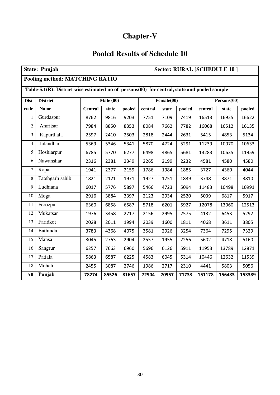## **Chapter-V**

## **Pooled Results of Schedule 10**

| <b>State: Punjab</b><br>Sector: RURAL [SCHEDULE 10] |                                                                                                     |                |          |        |         |            |        |         |             |        |  |  |  |
|-----------------------------------------------------|-----------------------------------------------------------------------------------------------------|----------------|----------|--------|---------|------------|--------|---------|-------------|--------|--|--|--|
|                                                     | <b>Pooling method: MATCHING RATIO</b>                                                               |                |          |        |         |            |        |         |             |        |  |  |  |
|                                                     | Table-5.1 $(R)$ : District wise estimated no of persons $(00)$ for central, state and pooled sample |                |          |        |         |            |        |         |             |        |  |  |  |
| <b>Dist</b>                                         | <b>District</b>                                                                                     |                | Male(00) |        |         | Female(00) |        |         | Persons(00) |        |  |  |  |
| code                                                | <b>Name</b>                                                                                         | <b>Central</b> | state    | pooled | central | state      | pooled | central | state       | pooled |  |  |  |
| 1                                                   | Gurdaspur                                                                                           | 8762           | 9816     | 9203   | 7751    | 7109       | 7419   | 16513   | 16925       | 16622  |  |  |  |
| $\overline{2}$                                      | Amritsar                                                                                            | 7984           | 8850     | 8353   | 8084    | 7662       | 7782   | 16068   | 16512       | 16135  |  |  |  |
| 3                                                   | Kapurthala<br>2597<br>2503<br>2818<br>2444<br>2631<br>5415<br>4853<br>5134<br>2410                  |                |          |        |         |            |        |         |             |        |  |  |  |
| $\overline{4}$                                      | Jalandhar                                                                                           | 5369           | 5346     | 5341   | 5870    | 4724       | 5291   | 11239   | 10070       | 10633  |  |  |  |
| 5                                                   | Hoshiarpur                                                                                          | 6785           | 5770     | 6277   | 6498    | 4865       | 5681   | 13283   | 10635       | 11959  |  |  |  |
| 6                                                   | Nawanshar                                                                                           | 2316           | 2381     | 2349   | 2265    | 2199       | 2232   | 4581    | 4580        | 4580   |  |  |  |
| 7                                                   | Ropar                                                                                               | 1941           | 2377     | 2159   | 1786    | 1984       | 1885   | 3727    | 4360        | 4044   |  |  |  |
| 8                                                   | Fatehgarh sahib                                                                                     | 1821           | 2121     | 1971   | 1927    | 1751       | 1839   | 3748    | 3871        | 3810   |  |  |  |
| 9                                                   | Ludhiana                                                                                            | 6017           | 5776     | 5897   | 5466    | 4723       | 5094   | 11483   | 10498       | 10991  |  |  |  |
| 10                                                  | Moga                                                                                                | 2916           | 3884     | 3397   | 2123    | 2934       | 2520   | 5039    | 6817        | 5917   |  |  |  |
| 11                                                  | Ferozpur                                                                                            | 6360           | 6858     | 6587   | 5718    | 6201       | 5927   | 12078   | 13060       | 12513  |  |  |  |
| 12                                                  | Mukatsar                                                                                            | 1976           | 3458     | 2717   | 2156    | 2995       | 2575   | 4132    | 6453        | 5292   |  |  |  |
| 13                                                  | Faridkot                                                                                            | 2028           | 2011     | 1994   | 2039    | 1600       | 1811   | 4068    | 3611        | 3805   |  |  |  |
| 14                                                  | <b>Bathinda</b>                                                                                     | 3783           | 4368     | 4075   | 3581    | 2926       | 3254   | 7364    | 7295        | 7329   |  |  |  |
| 15                                                  | Mansa                                                                                               | 3045           | 2763     | 2904   | 2557    | 1955       | 2256   | 5602    | 4718        | 5160   |  |  |  |
| 16                                                  | Sangrur                                                                                             | 6257           | 7663     | 6960   | 5696    | 6126       | 5911   | 11953   | 13789       | 12871  |  |  |  |
| 17                                                  | Patiala                                                                                             | 5863           | 6587     | 6225   | 4583    | 6045       | 5314   | 10446   | 12632       | 11539  |  |  |  |
| 18                                                  | Mohali<br>5056<br>5803<br>2455<br>3087<br>2746<br>1986<br>2717<br>2310<br>4441                      |                |          |        |         |            |        |         |             |        |  |  |  |
| All                                                 | Punjab                                                                                              | 78274          | 85526    | 81657  | 72904   | 70957      | 71733  | 151178  | 156483      | 153389 |  |  |  |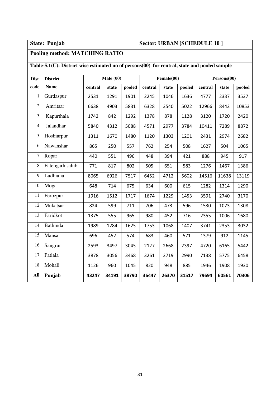### **State: Punjab Sector: URBAN [SCHEDULE 10 ]**

### **Pooling method: MATCHING RATIO**

### **Table-5.1(U): District wise estimated no of persons(00) for central, state and pooled sample**

| <b>Dist</b>    | <b>District</b> | Male(00) |       |        |         | Female(00) |        | Persons(00) |       |        |  |
|----------------|-----------------|----------|-------|--------|---------|------------|--------|-------------|-------|--------|--|
| code           | <b>Name</b>     | central  | state | pooled | central | state      | pooled | central     | state | pooled |  |
| 1              | Gurdaspur       | 2531     | 1291  | 1901   | 2245    | 1046       | 1636   | 4777        | 2337  | 3537   |  |
| $\overline{2}$ | Amritsar        | 6638     | 4903  | 5831   | 6328    | 3540       | 5022   | 12966       | 8442  | 10853  |  |
| 3              | Kapurthala      | 1742     | 842   | 1292   | 1378    | 878        | 1128   | 3120        | 1720  | 2420   |  |
| $\overline{4}$ | Jalandhar       | 5840     | 4312  | 5088   | 4571    | 2977       | 3784   | 10411       | 7289  | 8872   |  |
| 5              | Hoshiarpur      | 1311     | 1670  | 1480   | 1120    | 1303       | 1201   | 2431        | 2974  | 2682   |  |
| 6              | Nawanshar       | 865      | 250   | 557    | 762     | 254        | 508    | 1627        | 504   | 1065   |  |
| $\overline{7}$ | Ropar           | 440      | 551   | 496    | 448     | 394        | 421    | 888         | 945   | 917    |  |
| 8              | Fatehgarh sahib | 771      | 817   | 802    | 505     | 651        | 583    | 1276        | 1467  | 1386   |  |
| 9              | Ludhiana        | 8065     | 6926  | 7517   | 6452    | 4712       | 5602   | 14516       | 11638 | 13119  |  |
| 10             | Moga            | 648      | 714   | 675    | 634     | 600        | 615    | 1282        | 1314  | 1290   |  |
| 11             | Ferozpur        | 1916     | 1512  | 1717   | 1674    | 1229       | 1453   | 3591        | 2740  | 3170   |  |
| 12             | Mukatsar        | 824      | 599   | 711    | 706     | 473        | 596    | 1530        | 1073  | 1308   |  |
| 13             | Faridkot        | 1375     | 555   | 965    | 980     | 452        | 716    | 2355        | 1006  | 1680   |  |
| 14             | <b>Bathinda</b> | 1989     | 1284  | 1625   | 1753    | 1068       | 1407   | 3741        | 2353  | 3032   |  |
| 15             | Mansa           | 696      | 452   | 574    | 683     | 460        | 571    | 1379        | 912   | 1145   |  |
| 16             | Sangrur         | 2593     | 3497  | 3045   | 2127    | 2668       | 2397   | 4720        | 6165  | 5442   |  |
| 17             | Patiala         | 3878     | 3056  | 3468   | 3261    | 2719       | 2990   | 7138        | 5775  | 6458   |  |
| 18             | Mohali          | 1126     | 960   | 1045   | 820     | 948        | 885    | 1946        | 1908  | 1930   |  |
| All            | Punjab          | 43247    | 34191 | 38790  | 36447   | 26370      | 31517  | 79694       | 60561 | 70306  |  |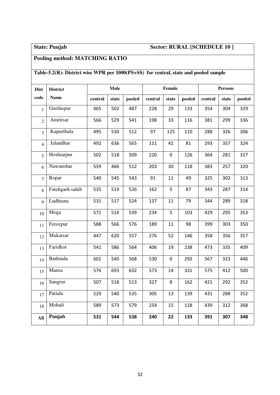## **State: Punjab Sector: RURAL [SCHEDULE 10 ]**

### **Pooling method: MATCHING RATIO**

### **Table-5.2(R): District wise WPR per 1000(PS+SS) for central, state and pooled sample**

| <b>Dist</b>    | <b>District</b> |         | <b>Male</b> |        |         | Female      |        | <b>Persons</b> |       |        |  |
|----------------|-----------------|---------|-------------|--------|---------|-------------|--------|----------------|-------|--------|--|
| code           | <b>Name</b>     | central | state       | pooled | central | state       | pooled | central        | state | pooled |  |
| $\mathbf{1}$   | Gurdaspur       | 465     | 502         | 487    | 228     | 29          | 133    | 354            | 304   | 329    |  |
| $\overline{2}$ | Amritsar        | 566     | 529         | 541    | 198     | 33          | 116    | 381            | 299   | 336    |  |
| 3              | Kapurthala      | 495     | 530         | 512    | 97      | 125         | 110    | 288            | 326   | 306    |  |
| $\overline{4}$ | Jalandhar       | 492     | 636         | 565    | 111     | 42          | 81     | 293            | 357   | 324    |  |
| 5              | Hoshiarpur      | 502     | 518         | 509    | 220     | $\mathbf 0$ | 126    | 364            | 281   | 327    |  |
| 6              | Nawanshar       | 559     | 466         | 512    | 203     | 30          | 118    | 383            | 257   | 320    |  |
| $\overline{7}$ | Ropar           | 540     | 545         | 543    | 91      | 11          | 49     | 325            | 302   | 313    |  |
| 8              | Fatehgarh sahib | 535     | 519         | 526    | 162     | 5           | 87     | 343            | 287   | 314    |  |
| 9              | Ludhiana        | 531     | 517         | 524    | 137     | 11          | 79     | 344            | 289   | 318    |  |
| 10             | Moga            | 571     | 514         | 539    | 234     | 5           | 103    | 429            | 295   | 353    |  |
| 11             | Ferozpur        | 588     | 566         | 576    | 189     | 11          | 98     | 399            | 303   | 350    |  |
| 12             | Mukatsar        | 447     | 620         | 557    | 276     | 52          | 146    | 358            | 356   | 357    |  |
| 13             | Faridkot        | 541     | 586         | 564    | 406     | 19          | 238    | 473            | 335   | 409    |  |
| 14             | Bathinda        | 601     | 540         | 568    | 530     | $\mathbf 0$ | 292    | 567            | 323   | 446    |  |
| 15             | Mansa           | 576     | 693         | 632    | 573     | 14          | 331    | 575            | 412   | 500    |  |
| 16             | Sangrur         | 507     | 518         | 513    | 327     | 8           | 162    | 421            | 292   | 352    |  |
| 17             | Patiala         | 529     | 540         | 535    | 305     | 13          | 139    | 431            | 288   | 352    |  |
| 18             | Mohali          | 589     | 573         | 579    | 254     | 15          | 118    | 439            | 312   | 368    |  |
| All            | Punjab          | 531     | 544         | 538    | 240     | 22          | 133    | 391            | 307   | 348    |  |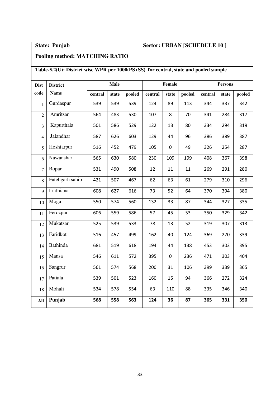## **State: Punjab Sector: URBAN [SCHEDULE 10 ]**

## **Pooling method: MATCHING RATIO**

## **Table-5.2(U): District wise WPR per 1000(PS+SS) for central, state and pooled sample**

| <b>Dist</b>    | <b>District</b> | <b>Male</b> |       |        |         | Female      |        | <b>Persons</b> |       |        |  |
|----------------|-----------------|-------------|-------|--------|---------|-------------|--------|----------------|-------|--------|--|
| code           | <b>Name</b>     | central     | state | pooled | central | state       | pooled | central        | state | pooled |  |
| 1              | Gurdaspur       | 539         | 539   | 539    | 124     | 89          | 113    | 344            | 337   | 342    |  |
| $\overline{2}$ | Amritsar        | 564         | 483   | 530    | 107     | 8           | 70     | 341            | 284   | 317    |  |
| $\overline{3}$ | Kapurthala      | 501         | 586   | 529    | 122     | 13          | 80     | 334            | 294   | 319    |  |
| $\overline{4}$ | Jalandhar       | 587         | 626   | 603    | 129     | 44          | 96     | 386            | 389   | 387    |  |
| 5              | Hoshiarpur      | 516         | 452   | 479    | 105     | $\mathbf 0$ | 49     | 326            | 254   | 287    |  |
| 6              | Nawanshar       | 565         | 630   | 580    | 230     | 109         | 199    | 408            | 367   | 398    |  |
| $\overline{7}$ | Ropar           | 531         | 490   | 508    | 12      | 11          | 11     | 269            | 291   | 280    |  |
| 8              | Fatehgarh sahib | 421         | 507   | 467    | 62      | 63          | 61     | 279            | 310   | 296    |  |
| 9              | Ludhiana        | 608         | 627   | 616    | 73      | 52          | 64     | 370            | 394   | 380    |  |
| 10             | Moga            | 550         | 574   | 560    | 132     | 33          | 87     | 344            | 327   | 335    |  |
| 11             | Ferozpur        | 606         | 559   | 586    | 57      | 45          | 53     | 350            | 329   | 342    |  |
| 12             | Mukatsar        | 525         | 539   | 533    | 78      | 13          | 52     | 319            | 307   | 313    |  |
| 13             | Faridkot        | 516         | 457   | 499    | 162     | 40          | 124    | 369            | 270   | 339    |  |
| 14             | Bathinda        | 681         | 519   | 618    | 194     | 44          | 138    | 453            | 303   | 395    |  |
| 15             | Mansa           | 546         | 611   | 572    | 395     | $\pmb{0}$   | 236    | 471            | 303   | 404    |  |
| 16             | Sangrur         | 561         | 574   | 568    | 200     | 31          | 106    | 399            | 339   | 365    |  |
| 17             | Patiala         | 539         | 501   | 523    | 160     | 15          | 94     | 366            | 272   | 324    |  |
| 18             | Mohali          | 534         | 578   | 554    | 63      | 110         | 88     | 335            | 346   | 340    |  |
| All            | Punjab          | 568         | 558   | 563    | 124     | 36          | 87     | 365            | 331   | 350    |  |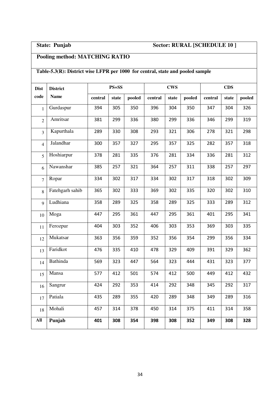## **State: Punjab Sector: RURAL [SCHEDULE 10 ]**

## **Pooling method: MATCHING RATIO**

### **Table-5.3(R): District wise LFPR per 1000 for central, state and pooled sample**

| <b>Dist</b>    | <b>District</b> |         | $PS + SS$ |        |         | <b>CWS</b> |        | <b>CDS</b> |       |        |  |
|----------------|-----------------|---------|-----------|--------|---------|------------|--------|------------|-------|--------|--|
| code           | <b>Name</b>     | central | state     | pooled | central | state      | pooled | central    | state | pooled |  |
| $\mathbf{1}$   | Gurdaspur       | 394     | 305       | 350    | 396     | 304        | 350    | 347        | 304   | 326    |  |
| $\overline{2}$ | Amritsar        | 381     | 299       | 336    | 380     | 299        | 336    | 346        | 299   | 319    |  |
| 3              | Kapurthala      | 289     | 330       | 308    | 293     | 321        | 306    | 278        | 321   | 298    |  |
| $\overline{4}$ | Jalandhar       | 300     | 357       | 327    | 295     | 357        | 325    | 282        | 357   | 318    |  |
| 5              | Hoshiarpur      | 378     | 281       | 335    | 376     | 281        | 334    | 336        | 281   | 312    |  |
| 6              | Nawanshar       | 385     | 257       | 321    | 364     | 257        | 311    | 338        | 257   | 297    |  |
| $\overline{7}$ | Ropar           | 334     | 302       | 317    | 334     | 302        | 317    | 318        | 302   | 309    |  |
| 8              | Fatehgarh sahib | 365     | 302       | 333    | 369     | 302        | 335    | 320        | 302   | 310    |  |
| 9              | Ludhiana        | 358     | 289       | 325    | 358     | 289        | 325    | 333        | 289   | 312    |  |
| 10             | Moga            | 447     | 295       | 361    | 447     | 295        | 361    | 401        | 295   | 341    |  |
| 11             | Ferozpur        | 404     | 303       | 352    | 406     | 303        | 353    | 369        | 303   | 335    |  |
| 12             | Mukatsar        | 363     | 356       | 359    | 352     | 356        | 354    | 299        | 356   | 334    |  |
| 13             | Faridkot        | 476     | 335       | 410    | 478     | 329        | 409    | 391        | 329   | 362    |  |
| 14             | <b>Bathinda</b> | 569     | 323       | 447    | 564     | 323        | 444    | 431        | 323   | 377    |  |
| 15             | Mansa           | 577     | 412       | 501    | 574     | 412        | 500    | 449        | 412   | 432    |  |
| 16             | Sangrur         | 424     | 292       | 353    | 414     | 292        | 348    | 345        | 292   | 317    |  |
| 17             | Patiala         | 435     | 289       | 355    | 420     | 289        | 348    | 349        | 289   | 316    |  |
| 18             | Mohali          | 457     | 314       | 378    | 450     | 314        | 375    | 411        | 314   | 358    |  |
| All            | Punjab          | 401     | 308       | 354    | 398     | 308        | 352    | 349        | 308   | 328    |  |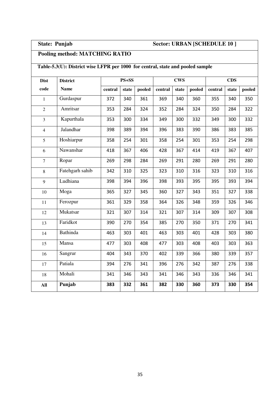### **State: Punjab Sector: URBAN [SCHEDULE 10 ]**

### **Pooling method: MATCHING RATIO**

### **Table-5.3(U): District wise LFPR per 1000 for central, state and pooled sample**

| <b>Dist</b>    | <b>District</b> |         | $PS + SS$ |        |         | <b>CWS</b> |        | <b>CDS</b> |       |        |  |
|----------------|-----------------|---------|-----------|--------|---------|------------|--------|------------|-------|--------|--|
| code           | <b>Name</b>     | central | state     | pooled | central | state      | pooled | central    | state | pooled |  |
| $\mathbf{1}$   | Gurdaspur       | 372     | 340       | 361    | 369     | 340        | 360    | 355        | 340   | 350    |  |
| $\overline{2}$ | Amritsar        | 353     | 284       | 324    | 352     | 284        | 324    | 350        | 284   | 322    |  |
| $\overline{3}$ | Kapurthala      | 353     | 300       | 334    | 349     | 300        | 332    | 349        | 300   | 332    |  |
| $\overline{4}$ | Jalandhar       | 398     | 389       | 394    | 396     | 383        | 390    | 386        | 383   | 385    |  |
| 5              | Hoshiarpur      | 358     | 254       | 301    | 358     | 254        | 301    | 353        | 254   | 298    |  |
| 6              | Nawanshar       | 418     | 367       | 406    | 428     | 367        | 414    | 419        | 367   | 407    |  |
| $\overline{7}$ | Ropar           | 269     | 298       | 284    | 269     | 291        | 280    | 269        | 291   | 280    |  |
| $8\,$          | Fatehgarh sahib | 342     | 310       | 325    | 323     | 310        | 316    | 323        | 310   | 316    |  |
| 9              | Ludhiana        | 398     | 394       | 396    | 398     | 393        | 395    | 395        | 393   | 394    |  |
| 10             | Moga            | 365     | 327       | 345    | 360     | 327        | 343    | 351        | 327   | 338    |  |
| 11             | Ferozpur        | 361     | 329       | 358    | 364     | 326        | 348    | 359        | 326   | 346    |  |
| 12             | Mukatsar        | 321     | 307       | 314    | 321     | 307        | 314    | 309        | 307   | 308    |  |
| 13             | Faridkot        | 390     | 270       | 354    | 385     | 270        | 350    | 371        | 270   | 341    |  |
| 14             | <b>Bathinda</b> | 463     | 303       | 401    | 463     | 303        | 401    | 428        | 303   | 380    |  |
| 15             | Mansa           | 477     | 303       | 408    | 477     | 303        | 408    | 403        | 303   | 363    |  |
| 16             | Sangrur         | 404     | 343       | 370    | 402     | 339        | 366    | 380        | 339   | 357    |  |
| 17             | Patiala         | 394     | 276       | 341    | 396     | 276        | 342    | 387        | 276   | 338    |  |
| 18             | Mohali          | 341     | 346       | 343    | 341     | 346        | 343    | 336        | 346   | 341    |  |
| All            | Punjab          | 383     | 332       | 361    | 382     | 330        | 360    | 373        | 330   | 354    |  |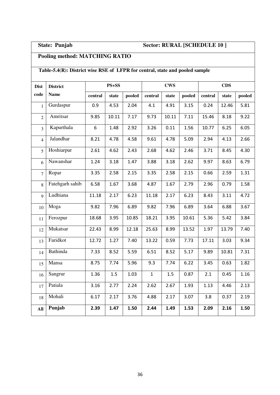## **State: Punjab Sector: RURAL [SCHEDULE 10 ]**

## **Pooling method: MATCHING RATIO**

### **Table-5.4(R): District wise RSE of LFPR for central, state and pooled sample**

| <b>Dist</b>    | <b>District</b> | $PS + SS$ |         |        |              | <b>CWS</b> |        | <b>CDS</b> |       |        |  |
|----------------|-----------------|-----------|---------|--------|--------------|------------|--------|------------|-------|--------|--|
| code           | <b>Name</b>     | central   | state   | pooled | central      | state      | pooled | central    | state | pooled |  |
| $\mathbf{1}$   | Gurdaspur       | 0.9       | 4.53    | 2.04   | 4.1          | 4.91       | 3.15   | 0.24       | 12.46 | 5.81   |  |
| $\overline{2}$ | Amritsar        | 9.85      | 10.11   | 7.17   | 9.73         | 10.11      | 7.11   | 15.46      | 8.18  | 9.22   |  |
| $\overline{3}$ | Kapurthala      | 6         | 1.48    | 2.92   | 3.26         | 0.11       | 1.56   | 10.77      | 6.25  | 6.05   |  |
| $\overline{4}$ | Jalandhar       | 8.21      | 4.78    | 4.58   | 9.61         | 4.78       | 5.09   | 2.94       | 4.13  | 2.66   |  |
| 5              | Hoshiarpur      | 2.61      | 4.62    | 2.43   | 2.68         | 4.62       | 2.46   | 3.71       | 8.45  | 4.30   |  |
| 6              | Nawanshar       | 1.24      | 3.18    | 1.47   | 3.88         | 3.18       | 2.62   | 9.97       | 8.63  | 6.79   |  |
| $\overline{7}$ | Ropar           | 3.35      | 2.58    | 2.15   | 3.35         | 2.58       | 2.15   | 0.66       | 2.59  | 1.31   |  |
| 8              | Fatehgarh sahib | 6.58      | 1.67    | 3.68   | 4.87         | 1.67       | 2.79   | 2.96       | 0.79  | 1.58   |  |
| $\mathbf Q$    | Ludhiana        | 11.18     | 2.17    | 6.23   | 11.18        | 2.17       | 6.23   | 8.43       | 3.11  | 4.72   |  |
| 10             | Moga            | 9.82      | 7.96    | 6.89   | 9.82         | 7.96       | 6.89   | 3.64       | 6.88  | 3.67   |  |
| 11             | Ferozpur        | 18.68     | 3.95    | 10.85  | 18.21        | 3.95       | 10.61  | 5.36       | 5.42  | 3.84   |  |
| 12             | Mukatsar        | 22.43     | 8.99    | 12.18  | 25.63        | 8.99       | 13.52  | 1.97       | 13.79 | 7.40   |  |
| 13             | Faridkot        | 12.72     | 1.27    | 7.40   | 13.22        | 0.59       | 7.73   | 17.11      | 3.03  | 9.34   |  |
| 14             | <b>Bathinda</b> | 7.33      | 8.52    | 5.59   | 6.51         | 8.52       | 5.17   | 9.89       | 10.81 | 7.31   |  |
| 15             | Mansa           | 8.75      | 7.74    | 5.96   | 9.3          | 7.74       | 6.22   | 3.45       | 0.63  | 1.82   |  |
| 16             | Sangrur         | 1.36      | $1.5\,$ | 1.03   | $\mathbf{1}$ | $1.5\,$    | 0.87   | 2.1        | 0.45  | 1.16   |  |
| 17             | Patiala         | 3.16      | 2.77    | 2.24   | 2.62         | 2.67       | 1.93   | 1.13       | 4.46  | 2.13   |  |
| 18             | Mohali          | 6.17      | 2.17    | 3.76   | 4.88         | 2.17       | 3.07   | 3.8        | 0.37  | 2.19   |  |
| All            | Punjab          | 2.39      | 1.47    | 1.50   | 2.44         | 1.49       | 1.53   | 2.09       | 2.16  | 1.50   |  |